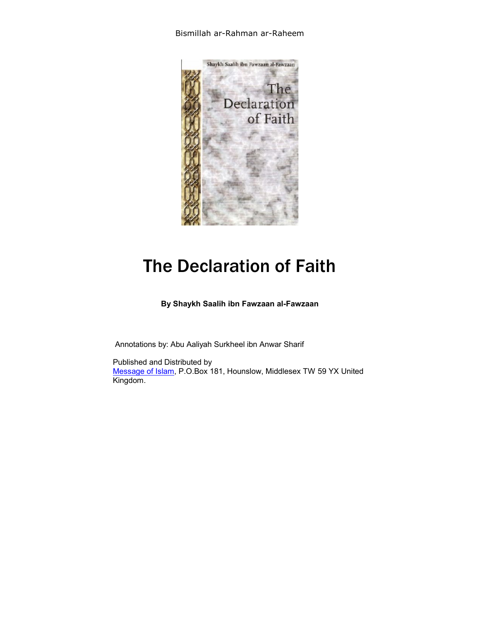## Bismillah ar-Rahman ar-Raheem



# The Declaration of Faith

**By Shaykh Saalih ibn Fawzaan al-Fawzaan** 

Annotations by: Abu Aaliyah Surkheel ibn Anwar Sharif

Published and Distributed by Message of Islam, P.O.Box 181, Hounslow, Middlesex TW 59 YX United Kingdom.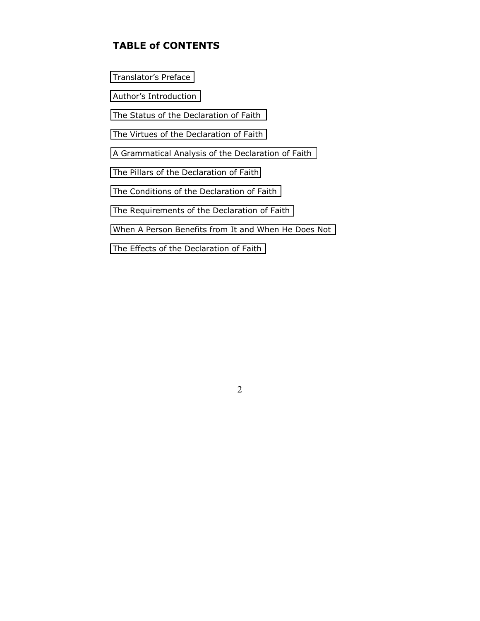# **TABLE of CONTENTS**

[Translator's](#page-2-0) Preface Author's [Introduction](#page-5-0) The Status of the [Declaration of](#page-8-0) Faith The Virtues of the [Declaration of](#page-14-0) Faith A [Grammatical Analysis](#page-18-0) of the Declaration of Faith The Pillars of the [Declaration](#page-19-0) of Faith The Conditions of the [Declaration](#page-24-0) of Faith The Requirements of the [Declaration of](#page-26-0) Faith When A Person [Benefits from](#page-40-0) It and When He Does Not [The Effects of the Declaration](#page-50-0) of Faith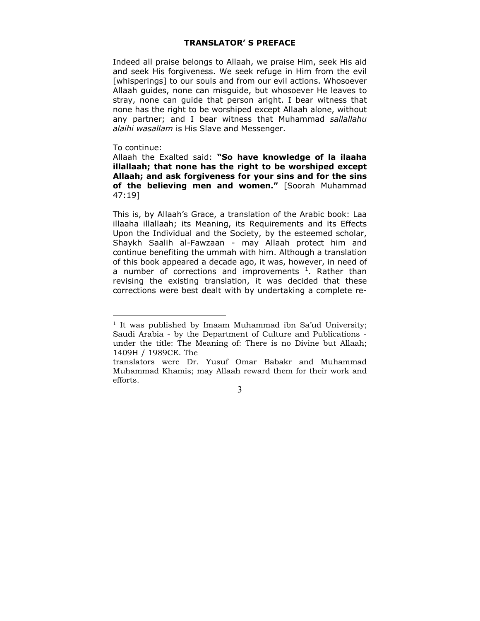## **TRANSLATOR' S PREFACE**

<span id="page-2-0"></span>Indeed all praise belongs to Allaah, we praise Him, seek His aid and seek His forgiveness. We seek refuge in Him from the evil [whisperings] to our souls and from our evil actions. Whosoever Allaah guides, none can misguide, but whosoever He leaves to stray, none can guide that person aright. I bear witness that none has the right to be worshiped except Allaah alone, without any partner; and I bear witness that Muhammad *sallallahu alaihi wasallam* is His Slave and Messenger.

#### To continue:

 $\overline{a}$ 

Allaah the Exalted said: **"So have knowledge of la ilaaha illallaah; that none has the right to be worshiped except Allaah; and ask forgiveness for your sins and for the sins of the believing men and women."** [Soorah Muhammad 47:19]

This is, by Allaah's Grace, a translation of the Arabic book: Laa illaaha illallaah; its Meaning, its Requirements and its Effects Upon the Individual and the Society, by the esteemed scholar, Shaykh Saalih al-Fawzaan - may Allaah protect him and continue benefiting the ummah with him. Although a translation of this book appeared a decade ago, it was, however, in need of a number of corrections and improvements  $1$ . Rather than revising the existing translation, it was decided that these corrections were best dealt with by undertaking a complete re-

 $1$  It was published by Imaam Muhammad ibn Sa'ud University; Saudi Arabia - by the Department of Culture and Publications under the title: The Meaning of: There is no Divine but Allaah; 1409H / 1989CE. The

translators were Dr. Yusuf Omar Babakr and Muhammad Muhammad Khamis; may Allaah reward them for their work and efforts.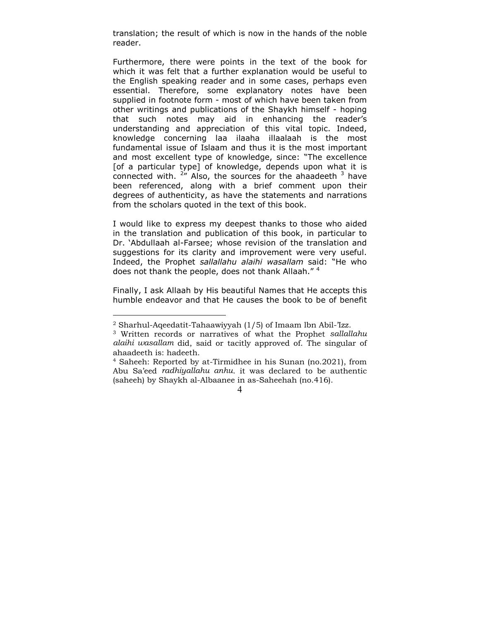translation; the result of which is now in the hands of the noble reader.

Furthermore, there were points in the text of the book for which it was felt that a further explanation would be useful to the English speaking reader and in some cases, perhaps even essential. Therefore, some explanatory notes have been supplied in footnote form - most of which have been taken from other writings and publications of the Shaykh himself - hoping that such notes may aid in enhancing the reader's understanding and appreciation of this vital topic. Indeed, knowledge concerning laa ilaaha illaalaah is the most fundamental issue of Islaam and thus it is the most important and most excellent type of knowledge, since: "The excellence [of a particular type] of knowledge, depends upon what it is connected with.  $2\pi$  Also, the sources for the ahaadeeth  $3$  have been referenced, along with a brief comment upon their degrees of authenticity, as have the statements and narrations from the scholars quoted in the text of this book.

I would like to express my deepest thanks to those who aided in the translation and publication of this book, in particular to Dr. 'Abdullaah al-Farsee; whose revision of the translation and suggestions for its clarity and improvement were very useful. Indeed, the Prophet *sallallahu alaihi wasallam* said: "He who does not thank the people, does not thank Allaah."<sup>4</sup>

Finally, I ask Allaah by His beautiful Names that He accepts this humble endeavor and that He causes the book to be of benefit

 $\overline{a}$ 

<sup>2</sup> Sharhul-Aqeedatit-Tahaawiyyah (1/5) of Imaam lbn Abil-'Izz.

<sup>3</sup> Written records or narratives of what the Prophet *sallallahu alaihi wasallam* did, said or tacitly approved of. The singular of ahaadeeth is: hadeeth.

<sup>4</sup> Saheeh: Reported by at-Tirmidhee in his Sunan (no.2021), from Abu Sa'eed *radhiyallahu anhu*. it was declared to be authentic (saheeh) by Shaykh al-Albaanee in as-Saheehah (no.416).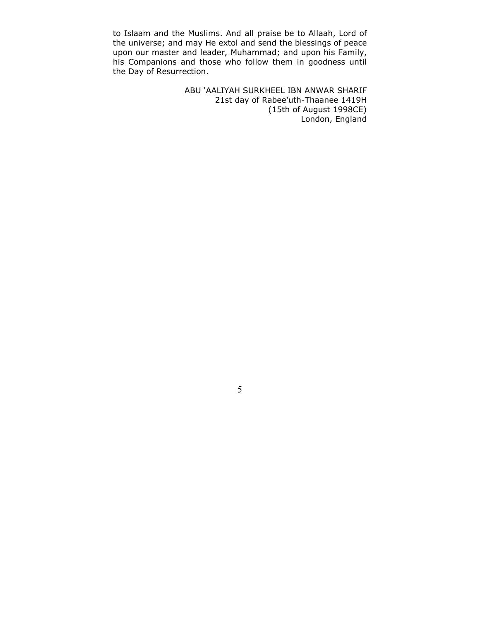to Islaam and the Muslims. And all praise be to Allaah, Lord of the universe; and may He extol and send the blessings of peace upon our master and leader, Muhammad; and upon his Family, his Companions and those who follow them in goodness until the Day of Resurrection.

> ABU 'AALIYAH SURKHEEL IBN ANWAR SHARIF 21st day of Rabee'uth-Thaanee 1419H (15th of August 1998CE) London, England

 $\sim$  5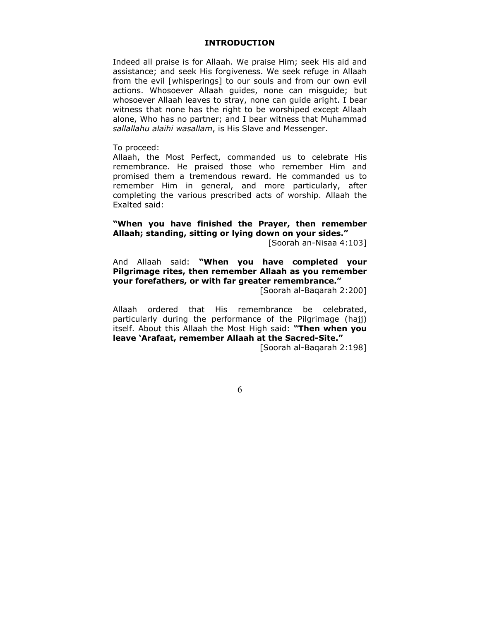#### **INTRODUCTION**

<span id="page-5-0"></span>Indeed all praise is for Allaah. We praise Him; seek His aid and assistance; and seek His forgiveness. We seek refuge in Allaah from the evil [whisperings] to our souls and from our own evil actions. Whosoever Allaah guides, none can misguide; but whosoever Allaah leaves to stray, none can guide aright. I bear witness that none has the right to be worshiped except Allaah alone, Who has no partner; and I bear witness that Muhammad *sallallahu alaihi wasallam*, is His Slave and Messenger.

To proceed:

Allaah, the Most Perfect, commanded us to celebrate His remembrance. He praised those who remember Him and promised them a tremendous reward. He commanded us to remember Him in general, and more particularly, after completing the various prescribed acts of worship. Allaah the Exalted said:

# **"When you have finished the Prayer, then remember Allaah; standing, sitting or lying down on your sides."**

[Soorah an-Nisaa 4:103]

And Allaah said: **"When you have completed your Pilgrimage rites, then remember Allaah as you remember your forefathers, or with far greater remembrance."** 

[Soorah al-Baqarah 2:200]

Allaah ordered that His remembrance be celebrated, particularly during the performance of the Pilgrimage (hajj) itself. About this Allaah the Most High said: **"Then when you leave 'Arafaat, remember Allaah at the Sacred-Site."**

[Soorah al-Baqarah 2:198]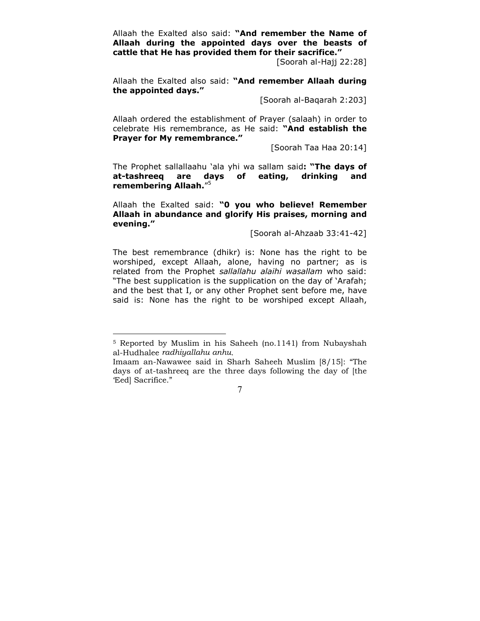Allaah the Exalted also said: **"And remember the Name of Allaah during the appointed days over the beasts of cattle that He has provided them for their sacrifice."**

[Soorah al-Hajj 22:28]

Allaah the Exalted also said: **"And remember Allaah during the appointed days."** 

[Soorah al-Baqarah 2:203]

Allaah ordered the establishment of Prayer (salaah) in order to celebrate His remembrance, as He said: **"And establish the Prayer for My remembrance."** 

[Soorah Taa Haa 20:14]

The Prophet sallallaahu 'ala yhi wa sallam said**: "The days of at-tashreeq are days of eating, drinking and remembering Allaah.**" 5

Allaah the Exalted said: **"0 you who believe! Remember Allaah in abundance and glorify His praises, morning and evening."**

[Soorah al-Ahzaab 33:41-42]

The best remembrance (dhikr) is: None has the right to be worshiped, except Allaah, alone, having no partner; as is related from the Prophet *sallallahu alaihi wasallam* who said: "The best supplication is the supplication on the day of 'Arafah; and the best that I, or any other Prophet sent before me, have said is: None has the right to be worshiped except Allaah,

<sup>5</sup> Reported by Muslim in his Saheeh (no.1141) from Nubayshah al-Hudhalee *radhiyallahu anhu*.

Imaam an-Nawawee said in Sharh Saheeh Muslim [8/15]: "The days of at-tashreeq are the three days following the day of [the 'Eed] Sacrifice."

 <sup>7</sup>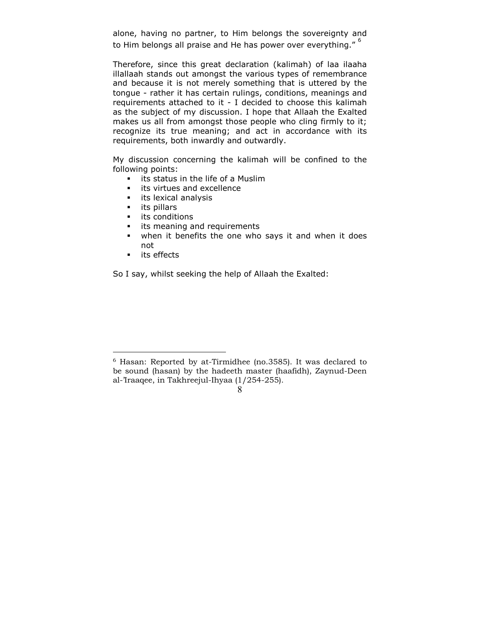alone, having no partner, to Him belongs the sovereignty and to Him belongs all praise and He has power over everything."<sup>6</sup>

Therefore, since this great declaration (kalimah) of laa ilaaha illallaah stands out amongst the various types of remembrance and because it is not merely something that is uttered by the tongue - rather it has certain rulings, conditions, meanings and requirements attached to it - I decided to choose this kalimah as the subject of my discussion. I hope that Allaah the Exalted makes us all from amongst those people who cling firmly to it; recognize its true meaning; and act in accordance with its requirements, both inwardly and outwardly.

My discussion concerning the kalimah will be confined to the following points:

- **EXT** its status in the life of a Muslim
- **i** its virtues and excellence
- **i** its lexical analysis
- **its pillars**
- **i** its conditions
- **i** its meaning and requirements
- when it benefits the one who says it and when it does not
- **its effects**

 $\overline{a}$ 

So I say, whilst seeking the help of Allaah the Exalted:

<sup>6</sup> Hasan: Reported by at-Tirmidhee (no.3585). It was declared to be sound (hasan) by the hadeeth master (haafidh), Zaynud-Deen al-'Iraaqee, in Takhreejul-Ihyaa (1/254-255).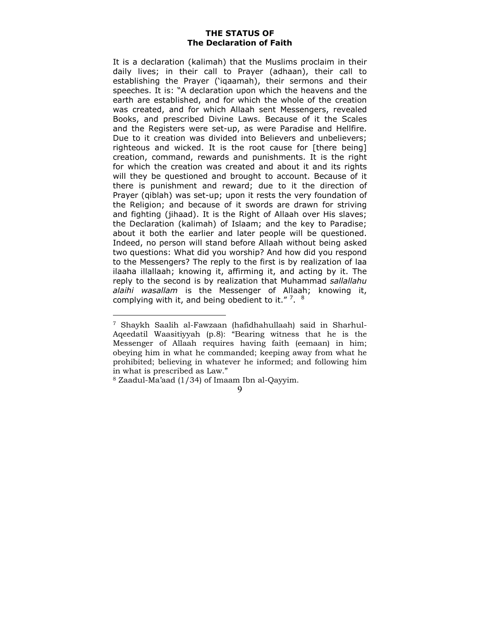# **THE STATUS OF The Declaration of Faith**

<span id="page-8-0"></span>It is a declaration (kalimah) that the Muslims proclaim in their daily lives; in their call to Prayer (adhaan), their call to establishing the Prayer ('iqaamah), their sermons and their speeches. It is: "A declaration upon which the heavens and the earth are established, and for which the whole of the creation was created, and for which Allaah sent Messengers, revealed Books, and prescribed Divine Laws. Because of it the Scales and the Registers were set-up, as were Paradise and Hellfire. Due to it creation was divided into Believers and unbelievers; righteous and wicked. It is the root cause for [there being] creation, command, rewards and punishments. It is the right for which the creation was created and about it and its rights will they be questioned and brought to account. Because of it there is punishment and reward; due to it the direction of Prayer (qiblah) was set-up; upon it rests the very foundation of the Religion; and because of it swords are drawn for striving and fighting (jihaad). It is the Right of Allaah over His slaves; the Declaration (kalimah) of Islaam; and the key to Paradise; about it both the earlier and later people will be questioned. Indeed, no person will stand before Allaah without being asked two questions: What did you worship? And how did you respond to the Messengers? The reply to the first is by realization of laa ilaaha illallaah; knowing it, affirming it, and acting by it. The reply to the second is by realization that Muhammad *sallallahu alaihi wasallam* is the Messenger of Allaah; knowing it, complying with it, and being obedient to it."  $7.8$ 

<sup>7</sup> Shaykh Saalih al-Fawzaan (hafidhahullaah) said in Sharhul-Aqeedatil Waasitiyyah (p.8): "Bearing witness that he is the Messenger of Allaah requires having faith (eemaan) in him; obeying him in what he commanded; keeping away from what he prohibited; believing in whatever he informed; and following him in what is prescribed as Law."

<sup>8</sup> Zaadul-Ma'aad (1/34) of Imaam Ibn al-Qayyim.

 <sup>9</sup>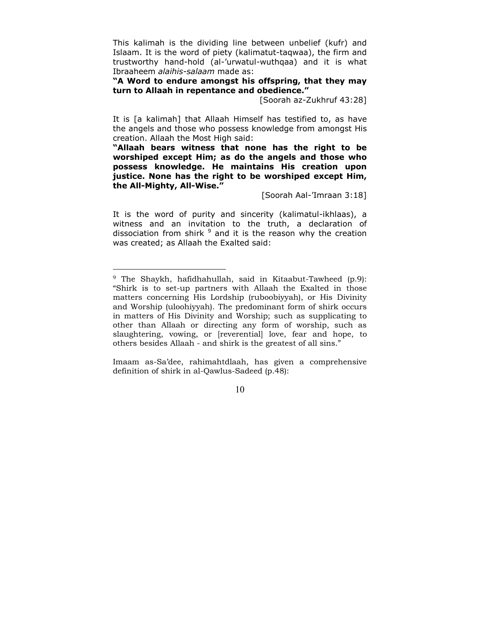This kalimah is the dividing line between unbelief (kufr) and Islaam. It is the word of piety (kalimatut-taqwaa), the firm and trustworthy hand-hold (al-'urwatul-wuthqaa) and it is what Ibraaheem *alaihis-salaam* made as:

**"A Word to endure amongst his offspring, that they may turn to Allaah in repentance and obedience."** 

[Soorah az-Zukhruf 43:28]

It is [a kalimah] that Allaah Himself has testified to, as have the angels and those who possess knowledge from amongst His creation. Allaah the Most High said:

**"Allaah bears witness that none has the right to be worshiped except Him; as do the angels and those who possess knowledge. He maintains His creation upon justice. None has the right to be worshiped except Him, the All-Mighty, All-Wise."** 

[Soorah Aal-'Imraan 3:18]

It is the word of purity and sincerity (kalimatul-ikhlaas), a witness and an invitation to the truth, a declaration of dissociation from shirk <sup>9</sup> and it is the reason why the creation was created; as Allaah the Exalted said:

 $\overline{a}$ 

Imaam as-Sa'dee, rahimahtdlaah, has given a comprehensive definition of shirk in al-Qawlus-Sadeed (p.48):

<sup>9</sup> The Shaykh, hafidhahullah, said in Kitaabut-Tawheed (p.9): "Shirk is to set-up partners with Allaah the Exalted in those matters concerning His Lordship (ruboobiyyah), or His Divinity and Worship (uloohiyyah). The predominant form of shirk occurs in matters of His Divinity and Worship; such as supplicating to other than Allaah or directing any form of worship, such as slaughtering, vowing, or [reverential] love, fear and hope, to others besides Allaah - and shirk is the greatest of all sins."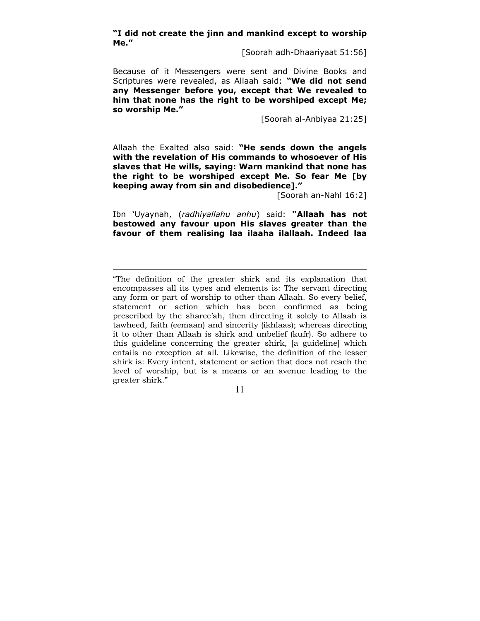**"I did not create the jinn and mankind except to worship Me."** 

[Soorah adh-Dhaariyaat 51:56]

Because of it Messengers were sent and Divine Books and Scriptures were revealed, as Allaah said: **"We did not send any Messenger before you, except that We revealed to him that none has the right to be worshiped except Me; so worship Me."**

[Soorah al-Anbiyaa 21:25]

Allaah the Exalted also said: **"He sends down the angels with the revelation of His commands to whosoever of His slaves that He wills, saying: Warn mankind that none has the right to be worshiped except Me. So fear Me [by keeping away from sin and disobedience]."**

[Soorah an-Nahl 16:2]

Ibn 'Uyaynah, (*radhiyallahu anhu*) said: **"Allaah has not bestowed any favour upon His slaves greater than the favour of them realising laa ilaaha ilallaah. Indeed laa** 

 $\overline{a}$ 

<sup>&</sup>quot;The definition of the greater shirk and its explanation that encompasses all its types and elements is: The servant directing any form or part of worship to other than Allaah. So every belief, statement or action which has been confirmed as being prescribed by the sharee'ah, then directing it solely to Allaah is tawheed, faith (eemaan) and sincerity (ikhlaas); whereas directing it to other than Allaah is shirk and unbelief (kufr). So adhere to this guideline concerning the greater shirk, [a guideline] which entails no exception at all. Likewise, the definition of the lesser shirk is: Every intent, statement or action that does not reach the level of worship, but is a means or an avenue leading to the greater shirk."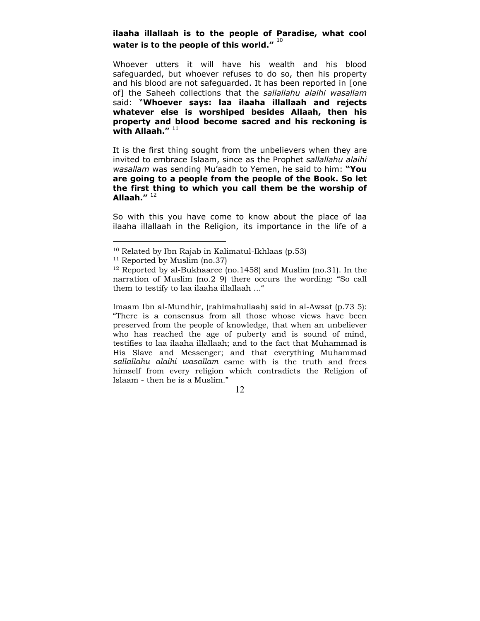# **ilaaha illallaah is to the people of Paradise, what cool**  water is to the people of this world."<sup>10</sup>

Whoever utters it will have his wealth and his blood safeguarded, but whoever refuses to do so, then his property and his blood are not safeguarded. It has been reported in [one of] the Saheeh collections that the *sallallahu alaihi wasallam* said: "**Whoever says: laa ilaaha illallaah and rejects whatever else is worshiped besides Allaah, then his property and blood become sacred and his reckoning is**  with Allaah."<sup>11</sup>

It is the first thing sought from the unbelievers when they are invited to embrace Islaam, since as the Prophet *sallallahu alaihi wasallam* was sending Mu'aadh to Yemen, he said to him: **"You are going to a people from the people of the Book. So let the first thing to which you call them be the worship of Allaah."** <sup>12</sup>

So with this you have come to know about the place of laa ilaaha illallaah in the Religion, its importance in the life of a

 $\overline{a}$ 

Imaam Ibn al-Mundhir, (rahimahullaah) said in al-Awsat (p.73 5): "There is a consensus from all those whose views have been preserved from the people of knowledge, that when an unbeliever who has reached the age of puberty and is sound of mind, testifies to laa ilaaha illallaah; and to the fact that Muhammad is His Slave and Messenger; and that everything Muhammad *sallallahu alaihi wasallam* came with is the truth and frees himself from every religion which contradicts the Religion of Islaam - then he is a Muslim."

<sup>10</sup> Related by Ibn Rajab in Kalimatul-Ikhlaas (p.53)

 $11$  Reported by Muslim (no.37)

<sup>&</sup>lt;sup>12</sup> Reported by al-Bukhaaree (no.1458) and Muslim (no.31). In the narration of Muslim (no.2 9) there occurs the wording: "So call them to testify to laa ilaaha illallaah ..."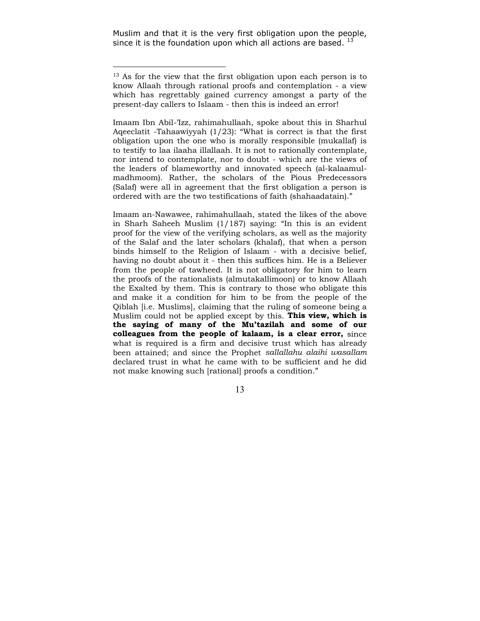Muslim and that it is the very first obligation upon the people, since it is the foundation upon which all actions are based.  $^{13}$ 

 $\overline{a}$ 

Imaam Ibn Abil-'Izz, rahimahullaah, spoke about this in Sharhul Aqeeclatit -Tahaawiyyah (1/23): "What is correct is that the first obligation upon the one who is morally responsible (mukallaf) is to testify to laa ilaaha illallaah. It is not to rationally contemplate, nor intend to contemplate, nor to doubt - which are the views of the leaders of blameworthy and innovated speech (al-kalaamulmadhmoom). Rather, the scholars of the Pious Predecessors (Salaf) were all in agreement that the first obligation a person is ordered with are the two testifications of faith (shahaadatain)."

Imaam an-Nawawee, rahimahullaah, stated the likes of the above in Sharh Saheeh Muslim (1/187) saying: "In this is an evident proof for the view of the verifying scholars, as well as the majority of the Salaf and the later scholars (khalaf), that when a person binds himself to the Religion of Islaam - with a decisive belief, having no doubt about it - then this suffices him. He is a Believer from the people of tawheed. It is not obligatory for him to learn the proofs of the rationalists (almutakallimoon) or to know Allaah the Exalted by them. This is contrary to those who obligate this and make it a condition for him to be from the people of the Qiblah [i.e. Muslims], claiming that the ruling of someone being a Muslim could not be applied except by this. **This view, which is the saying of many of the Mu'tazilah and some of our colleagues from the people of kalaam, is a clear error,** since what is required is a firm and decisive trust which has already been attained; and since the Prophet *sallallahu alaihi wasallam* declared trust in what he came with to be sufficient and he did not make knowing such [rational] proofs a condition."

<sup>&</sup>lt;sup>13</sup> As for the view that the first obligation upon each person is to know Allaah through rational proofs and contemplation - a view which has regrettably gained currency amongst a party of the present-day callers to Islaam - then this is indeed an error!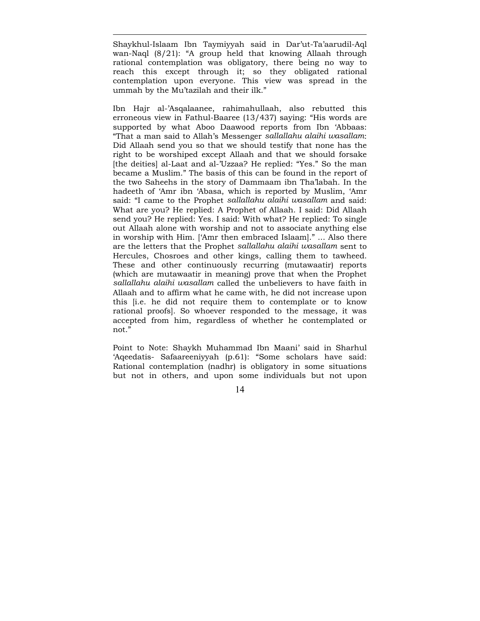Shaykhul-Islaam Ibn Taymiyyah said in Dar'ut-Ta'aarudil-Aql wan-Naql (8/21): "A group held that knowing Allaah through rational contemplation was obligatory, there being no way to reach this except through it; so they obligated rational contemplation upon everyone. This view was spread in the ummah by the Mu'tazilah and their ilk."

 $\overline{a}$ 

Ibn Hajr al-'Asqalaanee, rahimahullaah, also rebutted this erroneous view in Fathul-Baaree (13/437) saying: "His words are supported by what Aboo Daawood reports from Ibn 'Abbaas: "That a man said to Allah's Messenger *sallallahu alaihi wasallam*: Did Allaah send you so that we should testify that none has the right to be worshiped except Allaah and that we should forsake [the deities] al-Laat and al-'Uzzaa? He replied: "Yes." So the man became a Muslim." The basis of this can be found in the report of the two Saheehs in the story of Dammaam ibn Tha'labah. In the hadeeth of 'Amr ibn 'Abasa, which is reported by Muslim, 'Amr said: "I came to the Prophet *sallallahu alaihi wasallam* and said: What are you? He replied: A Prophet of Allaah. I said: Did Allaah send you? He replied: Yes. I said: With what? He replied: To single out Allaah alone with worship and not to associate anything else in worship with Him. ['Amr then embraced Islaam]." ... Also there are the letters that the Prophet *sallallahu alaihi wasallam* sent to Hercules, Chosroes and other kings, calling them to tawheed. These and other continuously recurring (mutawaatir) reports (which are mutawaatir in meaning) prove that when the Prophet *sallallahu alaihi wasallam* called the unbelievers to have faith in Allaah and to affirm what he came with, he did not increase upon this [i.e. he did not require them to contemplate or to know rational proofs]. So whoever responded to the message, it was accepted from him, regardless of whether he contemplated or not."

Point to Note: Shaykh Muhammad Ibn Maani' said in Sharhul 'Aqeedatis- Safaareeniyyah (p.61): "Some scholars have said: Rational contemplation (nadhr) is obligatory in some situations but not in others, and upon some individuals but not upon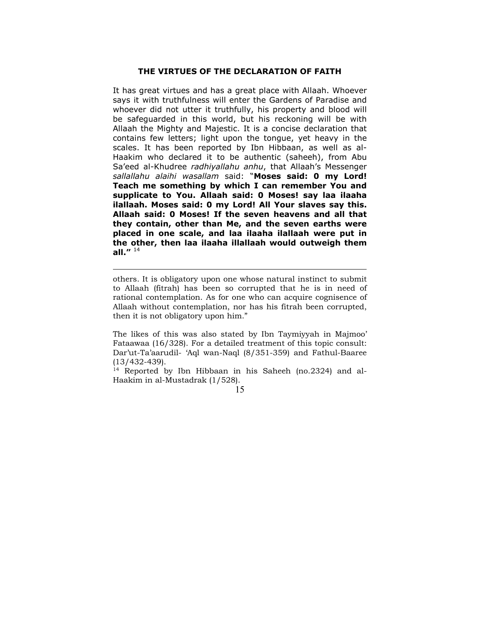#### **THE VIRTUES OF THE DECLARATION OF FAITH**

<span id="page-14-0"></span>It has great virtues and has a great place with Allaah. Whoever says it with truthfulness will enter the Gardens of Paradise and whoever did not utter it truthfully, his property and blood will be safeguarded in this world, but his reckoning will be with Allaah the Mighty and Majestic. It is a concise declaration that contains few letters; light upon the tongue, yet heavy in the scales. It has been reported by Ibn Hibbaan, as well as al-Haakim who declared it to be authentic (saheeh), from Abu Sa'eed al-Khudree *radhiyallahu anhu*, that Allaah's Messenger *sallallahu alaihi wasallam* said: "**Moses said: 0 my Lord! Teach me something by which I can remember You and supplicate to You. Allaah said: 0 Moses! say laa ilaaha ilallaah. Moses said: 0 my Lord! All Your slaves say this. Allaah said: 0 Moses! If the seven heavens and all that they contain, other than Me, and the seven earths were placed in one scale, and laa ilaaha ilallaah were put in the other, then laa ilaaha illallaah would outweigh them all."** <sup>14</sup>

others. It is obligatory upon one whose natural instinct to submit to Allaah (fitrah) has been so corrupted that he is in need of rational contemplation. As for one who can acquire cognisence of Allaah without contemplation, nor has his fitrah been corrupted, then it is not obligatory upon him."

 $\overline{a}$ 

The likes of this was also stated by Ibn Taymiyyah in Majmoo' Fataawaa (16/328). For a detailed treatment of this topic consult: Dar'ut-Ta'aarudil- 'Aql wan-Naql (8/351-359) and Fathul-Baaree (13/432-439).

14 Reported by Ibn Hibbaan in his Saheeh (no.2324) and al-Haakim in al-Mustadrak (1/528).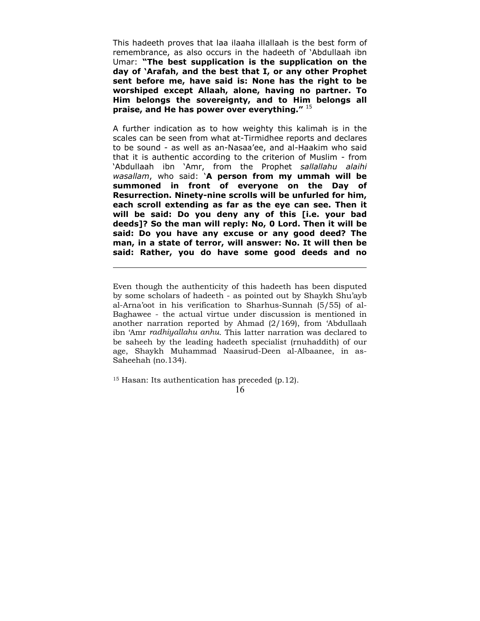This hadeeth proves that laa ilaaha illallaah is the best form of remembrance, as also occurs in the hadeeth of 'Abdullaah ibn Umar: **"The best supplication is the supplication on the day of 'Arafah, and the best that I, or any other Prophet sent before me, have said is: None has the right to be worshiped except Allaah, alone, having no partner. To Him belongs the sovereignty, and to Him belongs all praise, and He has power over everything."** <sup>15</sup>

A further indication as to how weighty this kalimah is in the scales can be seen from what at-Tirmidhee reports and declares to be sound - as well as an-Nasaa'ee, and al-Haakim who said that it is authentic according to the criterion of Muslim - from 'Abdullaah ibn 'Amr, from the Prophet *sallallahu alaihi wasallam*, who said: '**A person from my ummah will be summoned in front of everyone on the Day of Resurrection. Ninety-nine scrolls will be unfurled for him, each scroll extending as far as the eye can see. Then it will be said: Do you deny any of this [i.e. your bad deeds]? So the man will reply: No, 0 Lord. Then it will be said: Do you have any excuse or any good deed? The man, in a state of terror, will answer: No. It will then be said: Rather, you do have some good deeds and no** 

Even though the authenticity of this hadeeth has been disputed by some scholars of hadeeth - as pointed out by Shaykh Shu'ayb al-Arna'oot in his verification to Sharhus-Sunnah (5/55) of al-Baghawee - the actual virtue under discussion is mentioned in another narration reported by Ahmad (2/169), from 'Abdullaah ibn 'Amr *radhiyallahu anhu*. This latter narration was declared to be saheeh by the leading hadeeth specialist (rnuhaddith) of our age, Shaykh Muhammad Naasirud-Deen al-Albaanee, in as-Saheehah (no.134).

 $15$  Hasan: Its authentication has preceded (p.12).

 $\overline{a}$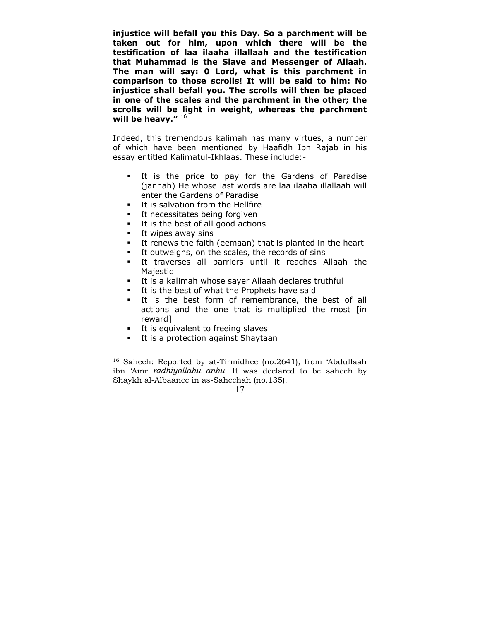**injustice will befall you this Day. So a parchment will be taken out for him, upon which there will be the testification of laa ilaaha illallaah and the testification that Muhammad is the Slave and Messenger of Allaah. The man will say: 0 Lord, what is this parchment in comparison to those scrolls! It will be said to him: No injustice shall befall you. The scrolls will then be placed in one of the scales and the parchment in the other; the scrolls will be light in weight, whereas the parchment will be heavy."** <sup>16</sup>

Indeed, this tremendous kalimah has many virtues, a number of which have been mentioned by Haafidh Ibn Rajab in his essay entitled Kalimatul-Ikhlaas. These include:-

- It is the price to pay for the Gardens of Paradise (jannah) He whose last words are laa ilaaha illallaah will enter the Gardens of Paradise
- **It is salvation from the Hellfire**
- It necessitates being forgiven
- It is the best of all good actions
- **It wipes away sins**

 $\overline{a}$ 

- It renews the faith (eemaan) that is planted in the heart
- It outweighs, on the scales, the records of sins
- It traverses all barriers until it reaches Allaah the Majestic
- It is a kalimah whose sayer Allaah declares truthful
- It is the best of what the Prophets have said
- It is the best form of remembrance, the best of all actions and the one that is multiplied the most [in reward]
- **It is equivalent to freeing slaves**
- It is a protection against Shaytaan

<sup>16</sup> Saheeh: Reported by at-Tirmidhee (no.2641), from 'Abdullaah ibn 'Amr *radhiyallahu anhu*. It was declared to be saheeh by Shaykh al-Albaanee in as-Saheehah (no.135).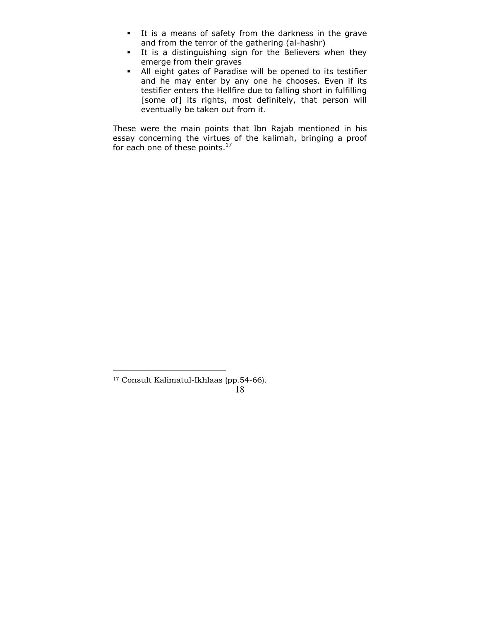- It is a means of safety from the darkness in the grave and from the terror of the gathering (al-hashr)
- It is a distinguishing sign for the Believers when they emerge from their graves
- All eight gates of Paradise will be opened to its testifier and he may enter by any one he chooses. Even if its testifier enters the Hellfire due to falling short in fulfilling [some of] its rights, most definitely, that person will eventually be taken out from it.

These were the main points that Ibn Rajab mentioned in his essay concerning the virtues of the kalimah, bringing a proof for each one of these points.<sup>17</sup>

<sup>17</sup> Consult Kalimatul-Ikhlaas (pp.54-66).

 <sup>18</sup>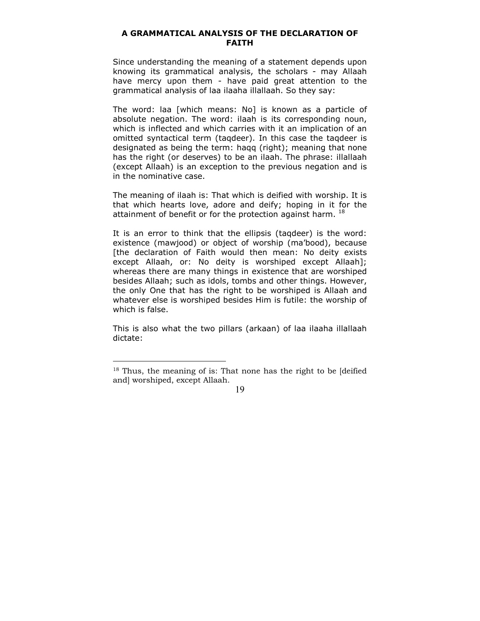#### <span id="page-18-0"></span>**A GRAMMATICAL ANALYSIS OF THE DECLARATION OF FAITH**

Since understanding the meaning of a statement depends upon knowing its grammatical analysis, the scholars - may Allaah have mercy upon them - have paid great attention to the grammatical analysis of laa ilaaha illallaah. So they say:

The word: laa [which means: No] is known as a particle of absolute negation. The word: ilaah is its corresponding noun, which is inflected and which carries with it an implication of an omitted syntactical term (taqdeer). In this case the taqdeer is designated as being the term: haqq (right); meaning that none has the right (or deserves) to be an ilaah. The phrase: illallaah (except Allaah) is an exception to the previous negation and is in the nominative case.

The meaning of ilaah is: That which is deified with worship. It is that which hearts love, adore and deify; hoping in it for the attainment of benefit or for the protection against harm.  $^{18}$ 

It is an error to think that the ellipsis (taqdeer) is the word: existence (mawjood) or object of worship (ma'bood), because [the declaration of Faith would then mean: No deity exists except Allaah, or: No deity is worshiped except Allaah]; whereas there are many things in existence that are worshiped besides Allaah; such as idols, tombs and other things. However, the only One that has the right to be worshiped is Allaah and whatever else is worshiped besides Him is futile: the worship of which is false.

This is also what the two pillars (arkaan) of laa ilaaha illallaah dictate:

 $\overline{a}$ 

<sup>&</sup>lt;sup>18</sup> Thus, the meaning of is: That none has the right to be [deified] and] worshiped, except Allaah.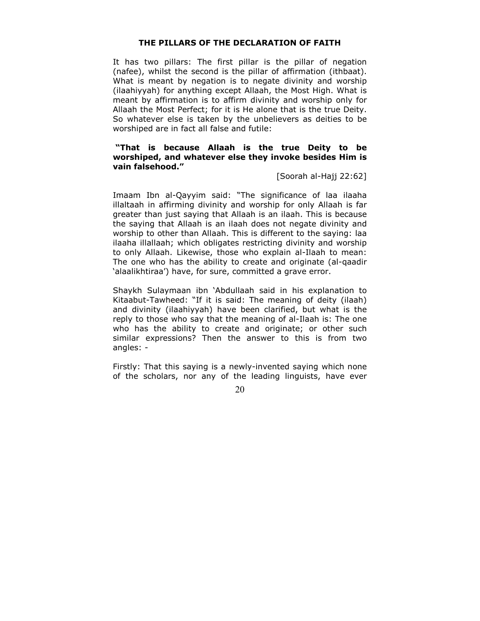#### **THE PILLARS OF THE DECLARATION OF FAITH**

<span id="page-19-0"></span>It has two pillars: The first pillar is the pillar of negation (nafee), whilst the second is the pillar of affirmation (ithbaat). What is meant by negation is to negate divinity and worship (ilaahiyyah) for anything except Allaah, the Most High. What is meant by affirmation is to affirm divinity and worship only for Allaah the Most Perfect; for it is He alone that is the true Deity. So whatever else is taken by the unbelievers as deities to be worshiped are in fact all false and futile:

#### **"That is because Allaah is the true Deity to be worshiped, and whatever else they invoke besides Him is vain falsehood."**

[Soorah al-Hajj 22:62]

Imaam Ibn al-Qayyim said: "The significance of laa ilaaha illaltaah in affirming divinity and worship for only Allaah is far greater than just saying that Allaah is an ilaah. This is because the saying that Allaah is an ilaah does not negate divinity and worship to other than Allaah. This is different to the saying: laa ilaaha illallaah; which obligates restricting divinity and worship to only Allaah. Likewise, those who explain al-Ilaah to mean: The one who has the ability to create and originate (al-qaadir 'alaalikhtiraa') have, for sure, committed a grave error.

Shaykh Sulaymaan ibn 'Abdullaah said in his explanation to Kitaabut-Tawheed: "If it is said: The meaning of deity (ilaah) and divinity (ilaahiyyah) have been clarified, but what is the reply to those who say that the meaning of al-Ilaah is: The one who has the ability to create and originate; or other such similar expressions? Then the answer to this is from two angles: -

Firstly: That this saying is a newly-invented saying which none of the scholars, nor any of the leading linguists, have ever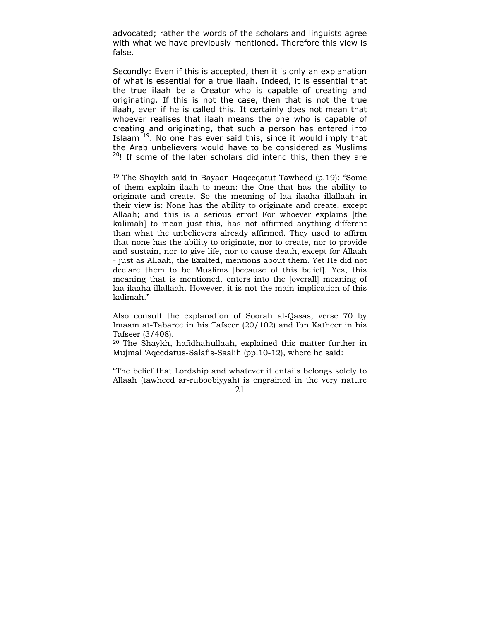advocated; rather the words of the scholars and linguists agree with what we have previously mentioned. Therefore this view is false.

Secondly: Even if this is accepted, then it is only an explanation of what is essential for a true ilaah. Indeed, it is essential that the true ilaah be a Creator who is capable of creating and originating. If this is not the case, then that is not the true ilaah, even if he is called this. It certainly does not mean that whoever realises that ilaah means the one who is capable of creating and originating, that such a person has entered into Islaam  $19$ . No one has ever said this, since it would imply that the Arab unbelievers would have to be considered as Muslims  $20!$ ! If some of the later scholars did intend this, then they are

 $\overline{a}$ 

Also consult the explanation of Soorah al-Qasas; verse 70 by Imaam at-Tabaree in his Tafseer (20/102) and Ibn Katheer in his Tafseer (3/408).

20 The Shaykh, hafidhahullaah, explained this matter further in Mujmal 'Aqeedatus-Salafis-Saalih (pp.10-12), where he said:

 21 "The belief that Lordship and whatever it entails belongs solely to Allaah (tawheed ar-ruboobiyyah) is engrained in the very nature

<sup>&</sup>lt;sup>19</sup> The Shaykh said in Bayaan Haqeeqatut-Tawheed (p.19): "Some of them explain ilaah to mean: the One that has the ability to originate and create. So the meaning of laa ilaaha illallaah in their view is: None has the ability to originate and create, except Allaah; and this is a serious error! For whoever explains [the kalimah] to mean just this, has not affirmed anything different than what the unbelievers already affirmed. They used to affirm that none has the ability to originate, nor to create, nor to provide and sustain, nor to give life, nor to cause death, except for Allaah - just as Allaah, the Exalted, mentions about them. Yet He did not declare them to be Muslims [because of this belief]. Yes, this meaning that is mentioned, enters into the [overall] meaning of laa ilaaha illallaah. However, it is not the main implication of this kalimah."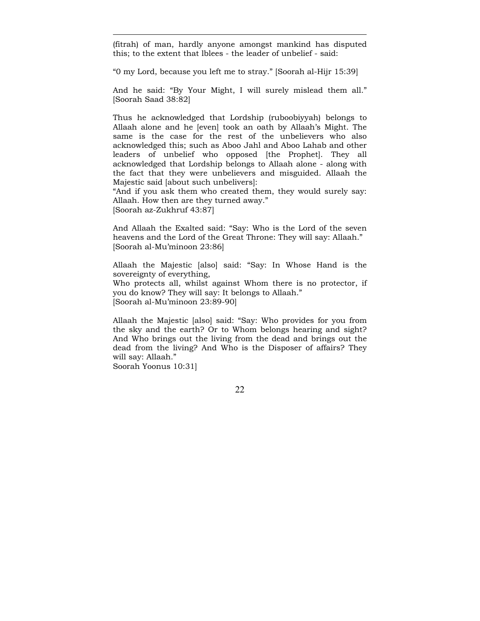(fitrah) of man, hardly anyone amongst mankind has disputed this; to the extent that lblees - the leader of unbelief - said:

"0 my Lord, because you left me to stray." [Soorah al-Hijr 15:39]

And he said: "By Your Might, I will surely mislead them all." [Soorah Saad 38:82]

Thus he acknowledged that Lordship (ruboobiyyah) belongs to Allaah alone and he [even] took an oath by Allaah's Might. The same is the case for the rest of the unbelievers who also acknowledged this; such as Aboo Jahl and Aboo Lahab and other leaders of unbelief who opposed [the Prophet]. They all acknowledged that Lordship belongs to Allaah alone - along with the fact that they were unbelievers and misguided. Allaah the Majestic said [about such unbelivers]:

"And if you ask them who created them, they would surely say: Allaah. How then are they turned away." [Soorah az-Zukhruf 43:87]

And Allaah the Exalted said: "Say: Who is the Lord of the seven heavens and the Lord of the Great Throne: They will say: Allaah." [Soorah al-Mu'minoon 23:86]

Allaah the Majestic [also] said: "Say: In Whose Hand is the sovereignty of everything, Who protects all, whilst against Whom there is no protector, if you do know? They will say: It belongs to Allaah." [Soorah al-Mu'minoon 23:89-90]

Allaah the Majestic [also] said: "Say: Who provides for you from the sky and the earth? Or to Whom belongs hearing and sight? And Who brings out the living from the dead and brings out the dead from the living? And Who is the Disposer of affairs? They will say: Allaah."

Soorah Yoonus 10:31]

 $\overline{a}$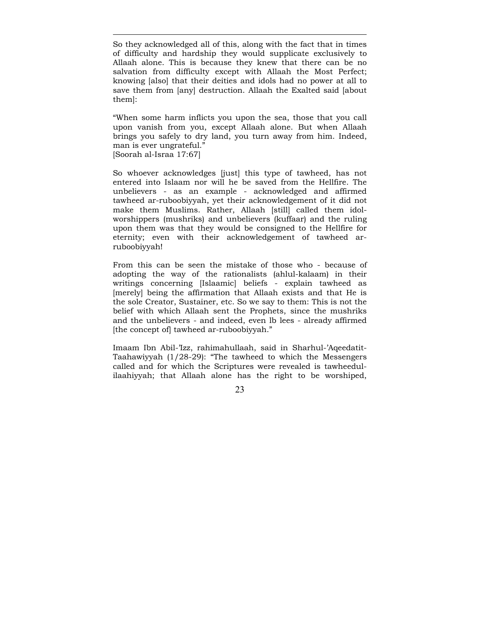So they acknowledged all of this, along with the fact that in times of difficulty and hardship they would supplicate exclusively to Allaah alone. This is because they knew that there can be no salvation from difficulty except with Allaah the Most Perfect; knowing [also] that their deities and idols had no power at all to save them from [any] destruction. Allaah the Exalted said [about them]:

 $\overline{a}$ 

"When some harm inflicts you upon the sea, those that you call upon vanish from you, except Allaah alone. But when Allaah brings you safely to dry land, you turn away from him. Indeed, man is ever ungrateful." [Soorah al-Israa 17:67]

So whoever acknowledges [just] this type of tawheed, has not entered into Islaam nor will he be saved from the Hellfire. The unbelievers - as an example - acknowledged and affirmed tawheed ar-ruboobiyyah, yet their acknowledgement of it did not make them Muslims. Rather, Allaah [still] called them idolworshippers (mushriks) and unbelievers (kuffaar) and the ruling upon them was that they would be consigned to the Hellfire for eternity; even with their acknowledgement of tawheed arruboobiyyah!

From this can be seen the mistake of those who - because of adopting the way of the rationalists (ahlul-kalaam) in their writings concerning [Islaamic] beliefs - explain tawheed as [merely] being the affirmation that Allaah exists and that He is the sole Creator, Sustainer, etc. So we say to them: This is not the belief with which Allaah sent the Prophets, since the mushriks and the unbelievers - and indeed, even lb lees - already affirmed [the concept of] tawheed ar-ruboobiyyah."

Imaam Ibn Abil-'Izz, rahimahullaah, said in Sharhul-'Aqeedatit-Taahawiyyah (1/28-29): "The tawheed to which the Messengers called and for which the Scriptures were revealed is tawheedulilaahiyyah; that Allaah alone has the right to be worshiped,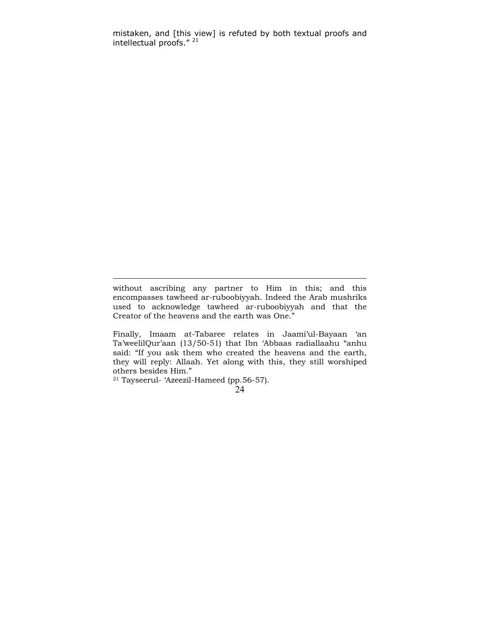mistaken, and [this view] is refuted by both textual proofs and intellectual proofs." 21

without ascribing any partner to Him in this; and this encompasses tawheed ar-ruboobiyyah. Indeed the Arab mushriks used to acknowledge tawheed ar-ruboobiyyah and that the Creator of the heavens and the earth was One."

Finally, Imaam at-Tabaree relates in Jaami'ul-Bayaan 'an Ta'weelilQur'aan (13/50-51) that Ibn 'Abbaas radiallaahu "anhu said: "If you ask them who created the heavens and the earth, they will reply: Allaah. Yet along with this, they still worshiped others besides Him."

21 Tayseerul- 'Azeezil-Hameed (pp.56-57).

 <sup>24</sup>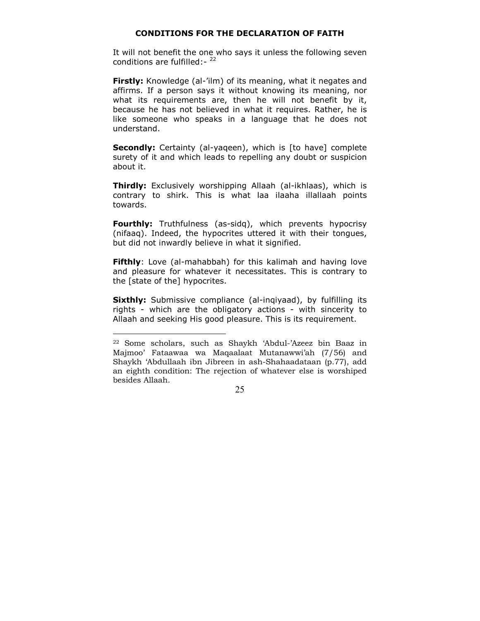## **CONDITIONS FOR THE DECLARATION OF FAITH**

<span id="page-24-0"></span>It will not benefit the one who says it unless the following seven conditions are fulfilled:- $22$ 

**Firstly:** Knowledge (al-'ilm) of its meaning, what it negates and affirms. If a person says it without knowing its meaning, nor what its requirements are, then he will not benefit by it, because he has not believed in what it requires. Rather, he is like someone who speaks in a language that he does not understand.

**Secondly:** Certainty (al-yageen), which is [to have] complete surety of it and which leads to repelling any doubt or suspicion about it.

**Thirdly:** Exclusively worshipping Allaah (al-ikhlaas), which is contrary to shirk. This is what laa ilaaha illallaah points towards.

**Fourthly:** Truthfulness (as-sidq), which prevents hypocrisy (nifaaq). Indeed, the hypocrites uttered it with their tongues, but did not inwardly believe in what it signified.

**Fifthly**: Love (al-mahabbah) for this kalimah and having love and pleasure for whatever it necessitates. This is contrary to the [state of the] hypocrites.

**Sixthly:** Submissive compliance (al-ingiyaad), by fulfilling its rights - which are the obligatory actions - with sincerity to Allaah and seeking His good pleasure. This is its requirement.

 $\overline{a}$ 

<sup>22</sup> Some scholars, such as Shaykh 'Abdul-'Azeez bin Baaz in Majmoo' Fataawaa wa Maqaalaat Mutanawwi'ah (7/56) and Shaykh 'Abdullaah ibn Jibreen in ash-Shahaadataan (p.77), add an eighth condition: The rejection of whatever else is worshiped besides Allaah.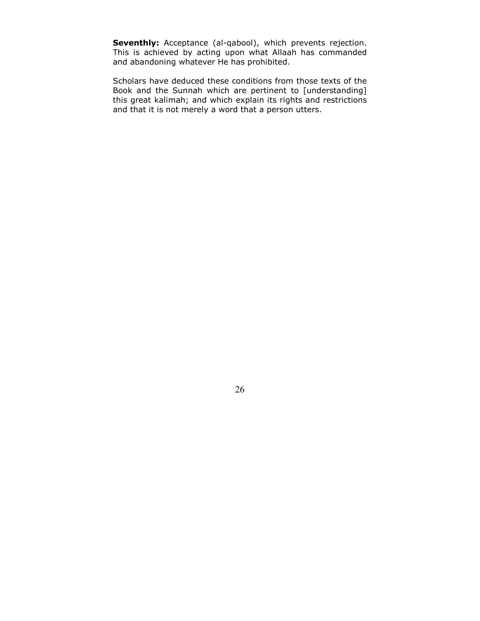Seventhly: Acceptance (al-qabool), which prevents rejection. This is achieved by acting upon what Allaah has commanded and abandoning whatever He has prohibited.

Scholars have deduced these conditions from those texts of the Book and the Sunnah which are pertinent to [understanding] this great kalimah; and which explain its rights and restrictions and that it is not merely a word that a person utters.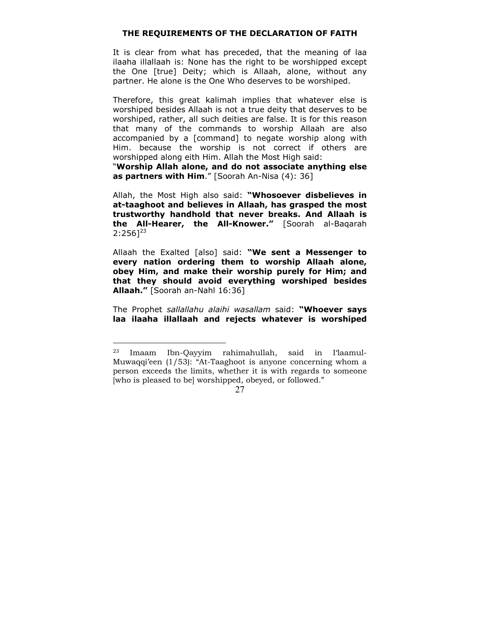#### **THE REQUIREMENTS OF THE DECLARATION OF FAITH**

<span id="page-26-0"></span>It is clear from what has preceded, that the meaning of laa ilaaha illallaah is: None has the right to be worshipped except the One [true] Deity; which is Allaah, alone, without any partner. He alone is the One Who deserves to be worshiped.

Therefore, this great kalimah implies that whatever else is worshiped besides Allaah is not a true deity that deserves to be worshiped, rather, all such deities are false. It is for this reason that many of the commands to worship Allaah are also accompanied by a [command] to negate worship along with Him. because the worship is not correct if others are worshipped along eith Him. Allah the Most High said:

"**Worship Allah alone, and do not associate anything else as partners with Him**." [Soorah An-Nisa (4): 36]

Allah, the Most High also said: **"Whosoever disbelieves in at-taaghoot and believes in Allaah, has grasped the most trustworthy handhold that never breaks. And Allaah is the All-Hearer, the All-Knower."** [Soorah al-Baqarah  $2:256]^{23}$ 

Allaah the Exalted [also] said: **"We sent a Messenger to every nation ordering them to worship Allaah alone, obey Him, and make their worship purely for Him; and that they should avoid everything worshiped besides Allaah."** [Soorah an-Nahl 16:36]

The Prophet *sallallahu alaihi wasallam* said: **"Whoever says laa ilaaha illallaah and rejects whatever is worshiped** 

 $\overline{a}$ 

<sup>23</sup> Imaam Ibn-Qayyim rahimahullah, said in I'laamul-Muwaqqi'een (1/53): "At-Taaghoot is anyone concerning whom a person exceeds the limits, whether it is with regards to someone [who is pleased to be] worshipped, obeyed, or followed."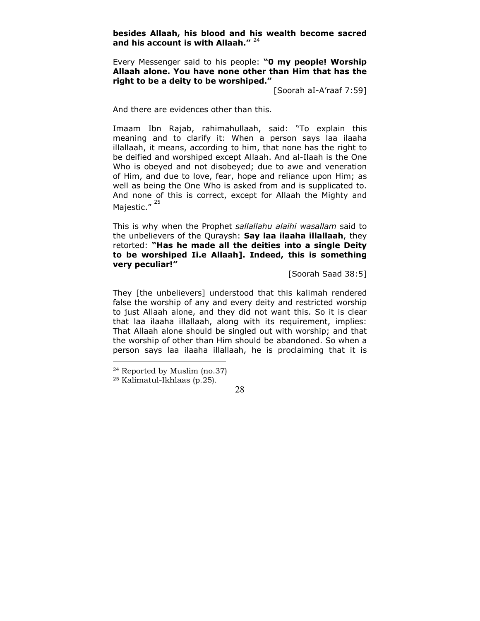**besides Allaah, his blood and his wealth become sacred and his account is with Allaah."** <sup>24</sup>

Every Messenger said to his people: **"0 my people! Worship Allaah alone. You have none other than Him that has the right to be a deity to be worshiped."** 

[Soorah aI-A'raaf 7:59]

And there are evidences other than this.

Imaam Ibn Rajab, rahimahullaah, said: "To explain this meaning and to clarify it: When a person says laa ilaaha illallaah, it means, according to him, that none has the right to be deified and worshiped except Allaah. And al-Ilaah is the One Who is obeyed and not disobeyed; due to awe and veneration of Him, and due to love, fear, hope and reliance upon Him; as well as being the One Who is asked from and is supplicated to. And none of this is correct, except for Allaah the Mighty and Majestic."<sup>25</sup>

This is why when the Prophet *sallallahu alaihi wasallam* said to the unbelievers of the Quraysh: **Say laa ilaaha illallaah**, they retorted: **"Has he made all the deities into a single Deity to be worshiped Ii.e Allaah]. Indeed, this is something very peculiar!"** 

[Soorah Saad 38:5]

They [the unbelievers] understood that this kalimah rendered false the worship of any and every deity and restricted worship to just Allaah alone, and they did not want this. So it is clear that laa ilaaha illallaah, along with its requirement, implies: That Allaah alone should be singled out with worship; and that the worship of other than Him should be abandoned. So when a person says laa ilaaha illallaah, he is proclaiming that it is

 $\overline{a}$ 

<sup>24</sup> Reported by Muslim (no.37)

<sup>25</sup> Kalimatul-Ikhlaas (p.25).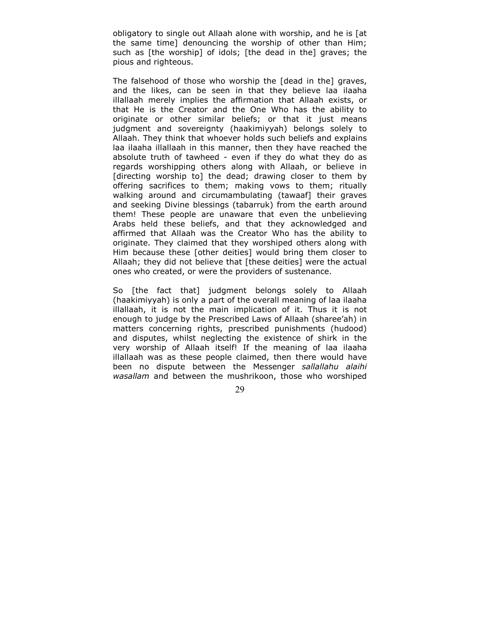obligatory to single out Allaah alone with worship, and he is [at the same time] denouncing the worship of other than Him; such as [the worship] of idols; [the dead in the] graves; the pious and righteous.

The falsehood of those who worship the [dead in the] graves, and the likes, can be seen in that they believe laa ilaaha illallaah merely implies the affirmation that Allaah exists, or that He is the Creator and the One Who has the ability to originate or other similar beliefs; or that it just means judgment and sovereignty (haakimiyyah) belongs solely to Allaah. They think that whoever holds such beliefs and explains laa ilaaha illallaah in this manner, then they have reached the absolute truth of tawheed - even if they do what they do as regards worshipping others along with Allaah, or believe in [directing worship to] the dead; drawing closer to them by offering sacrifices to them; making vows to them; ritually walking around and circumambulating (tawaaf] their graves and seeking Divine blessings (tabarruk) from the earth around them! These people are unaware that even the unbelieving Arabs held these beliefs, and that they acknowledged and affirmed that Allaah was the Creator Who has the ability to originate. They claimed that they worshiped others along with Him because these [other deities] would bring them closer to Allaah; they did not believe that [these deities] were the actual ones who created, or were the providers of sustenance.

So [the fact that] judgment belongs solely to Allaah (haakimiyyah) is only a part of the overall meaning of laa ilaaha illallaah, it is not the main implication of it. Thus it is not enough to judge by the Prescribed Laws of Allaah (sharee'ah) in matters concerning rights, prescribed punishments (hudood) and disputes, whilst neglecting the existence of shirk in the very worship of Allaah itself! If the meaning of laa ilaaha illallaah was as these people claimed, then there would have been no dispute between the Messenger *sallallahu alaihi wasallam* and between the mushrikoon, those who worshiped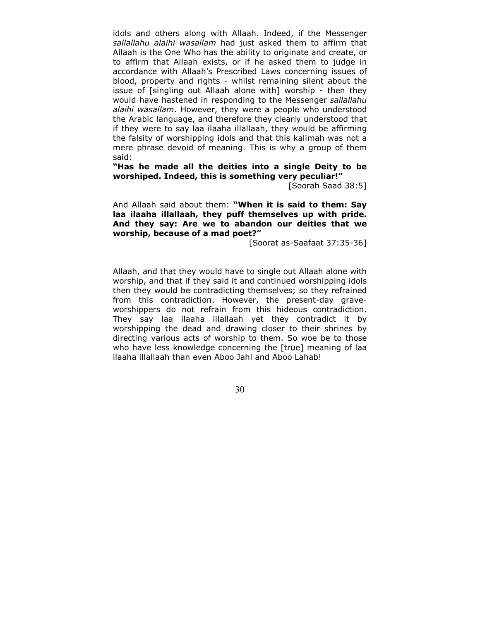idols and others along with Allaah. Indeed, if the Messenger *sallallahu alaihi wasallam* had just asked them to affirm that Allaah is the One Who has the ability to originate and create, or to affirm that Allaah exists, or if he asked them to judge in accordance with Allaah's Prescribed Laws concerning issues of blood, property and rights - whilst remaining silent about the issue of [singling out Allaah alone with] worship - then they would have hastened in responding to the Messenger *sallallahu alaihi wasallam*. However, they were a people who understood the Arabic language, and therefore they clearly understood that if they were to say laa ilaaha illallaah, they would be affirming the falsity of worshipping idols and that this kalimah was not a mere phrase devoid of meaning. This is why a group of them said:

**"Has he made all the deities into a single Deity to be worshiped. Indeed, this is something very peculiar!"** 

[Soorah Saad 38:5]

And Allaah said about them: **"When it is said to them: Say laa ilaaha illallaah, they puff themselves up with pride. And they say: Are we to abandon our deities that we worship, because of a mad poet?"** 

[Soorat as-Saafaat 37:35-36]

Allaah, and that they would have to single out Allaah alone with worship, and that if they said it and continued worshipping idols then they would be contradicting themselves; so they refrained from this contradiction. However, the present-day graveworshippers do not refrain from this hideous contradiction. They say laa ilaaha iilallaah yet they contradict it by worshipping the dead and drawing closer to their shrines by directing various acts of worship to them. So woe be to those who have less knowledge concerning the [true] meaning of laa ilaaha illallaah than even Aboo Jahl and Aboo Lahab!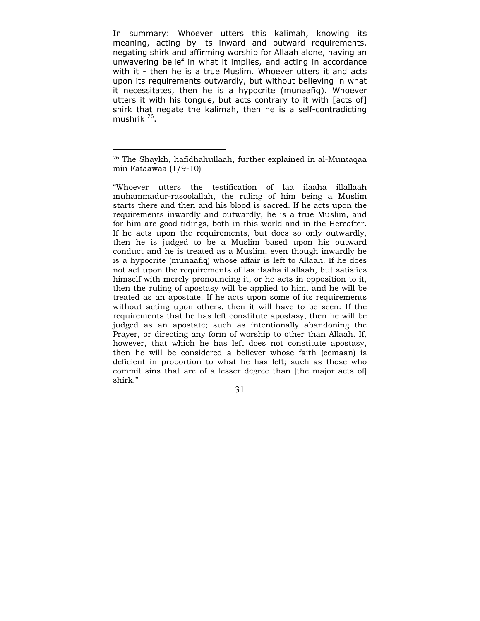In summary: Whoever utters this kalimah, knowing its meaning, acting by its inward and outward requirements, negating shirk and affirming worship for Allaah alone, having an unwavering belief in what it implies, and acting in accordance with it - then he is a true Muslim. Whoever utters it and acts upon its requirements outwardly, but without believing in what it necessitates, then he is a hypocrite (munaafiq). Whoever utters it with his tongue, but acts contrary to it with [acts of] shirk that negate the kalimah, then he is a self-contradicting mushrik  $^{26}$ .

 $\overline{a}$ 

<sup>26</sup> The Shaykh, hafidhahullaah, further explained in al-Muntaqaa min Fataawaa (1/9-10)

<sup>&</sup>quot;Whoever utters the testification of laa ilaaha illallaah muhammadur-rasoolallah, the ruling of him being a Muslim starts there and then and his blood is sacred. If he acts upon the requirements inwardly and outwardly, he is a true Muslim, and for him are good-tidings, both in this world and in the Hereafter. If he acts upon the requirements, but does so only outwardly, then he is judged to be a Muslim based upon his outward conduct and he is treated as a Muslim, even though inwardly he is a hypocrite (munaafiq) whose affair is left to Allaah. If he does not act upon the requirements of laa ilaaha illallaah, but satisfies himself with merely pronouncing it, or he acts in opposition to it, then the ruling of apostasy will be applied to him, and he will be treated as an apostate. If he acts upon some of its requirements without acting upon others, then it will have to be seen: If the requirements that he has left constitute apostasy, then he will be judged as an apostate; such as intentionally abandoning the Prayer, or directing any form of worship to other than Allaah. If, however, that which he has left does not constitute apostasy, then he will be considered a believer whose faith (eemaan) is deficient in proportion to what he has left; such as those who commit sins that are of a lesser degree than [the major acts of] shirk."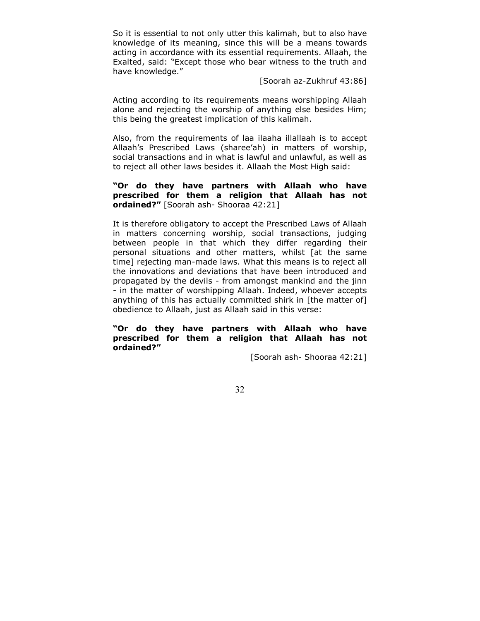So it is essential to not only utter this kalimah, but to also have knowledge of its meaning, since this will be a means towards acting in accordance with its essential requirements. Allaah, the Exalted, said: "Except those who bear witness to the truth and have knowledge."

[Soorah az-Zukhruf 43:86]

Acting according to its requirements means worshipping Allaah alone and rejecting the worship of anything else besides Him; this being the greatest implication of this kalimah.

Also, from the requirements of laa ilaaha illallaah is to accept Allaah's Prescribed Laws (sharee'ah) in matters of worship, social transactions and in what is lawful and unlawful, as well as to reject all other laws besides it. Allaah the Most High said:

# **"Or do they have partners with Allaah who have prescribed for them a religion that Allaah has not ordained?"** [Soorah ash- Shooraa 42:21]

It is therefore obligatory to accept the Prescribed Laws of Allaah in matters concerning worship, social transactions, judging between people in that which they differ regarding their personal situations and other matters, whilst [at the same time] rejecting man-made laws. What this means is to reject all the innovations and deviations that have been introduced and propagated by the devils - from amongst mankind and the jinn - in the matter of worshipping Allaah. Indeed, whoever accepts anything of this has actually committed shirk in [the matter of] obedience to Allaah, just as Allaah said in this verse:

**"Or do they have partners with Allaah who have prescribed for them a religion that Allaah has not ordained?"** 

[Soorah ash- Shooraa 42:21]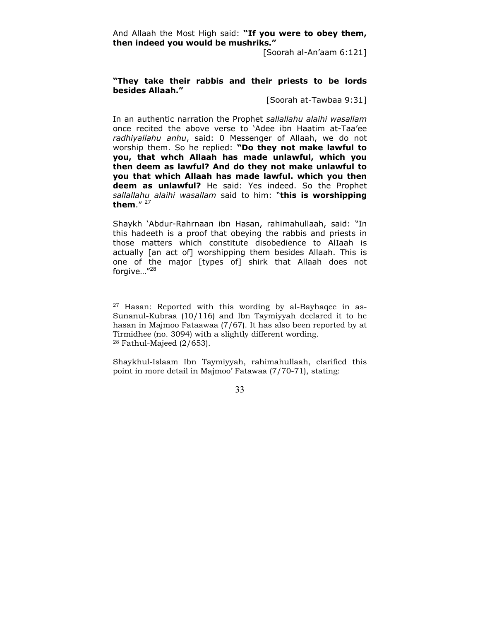And Allaah the Most High said: **"If you were to obey them, then indeed you would be mushriks."** 

[Soorah al-An'aam 6:121]

# **"They take their rabbis and their priests to be lords besides Allaah."**

[Soorah at-Tawbaa 9:31]

In an authentic narration the Prophet *sallallahu alaihi wasallam* once recited the above verse to 'Adee ibn Haatim at-Taa'ee *radhiyallahu anhu*, said: 0 Messenger of Allaah, we do not worship them. So he replied: **"Do they not make lawful to you, that whch Allaah has made unlawful, which you then deem as lawful? And do they not make unlawful to you that which Allaah has made lawful. which you then deem as unlawful?** He said: Yes indeed. So the Prophet *sallallahu alaihi wasallam* said to him: "**this is worshipping them**." 27

Shaykh 'Abdur-Rahrnaan ibn Hasan, rahimahullaah, said: "In this hadeeth is a proof that obeying the rabbis and priests in those matters which constitute disobedience to AlIaah is actually [an act of] worshipping them besides Allaah. This is one of the major [types of] shirk that Allaah does not forgive…"<sup>28</sup>

 $\overline{a}$ 

Shaykhul-Islaam Ibn Taymiyyah, rahimahullaah, clarified this point in more detail in Majmoo' Fatawaa (7/70-71), stating:

 $27$  Hasan: Reported with this wording by al-Bayhaqee in as-Sunanul-Kubraa (10/116) and lbn Taymiyyah declared it to he hasan in Majmoo Fataawaa (7/67). It has also been reported by at Tirmidhee (no. 3094) with a slightly different wording.  $28$  Fathul-Majeed (2/653).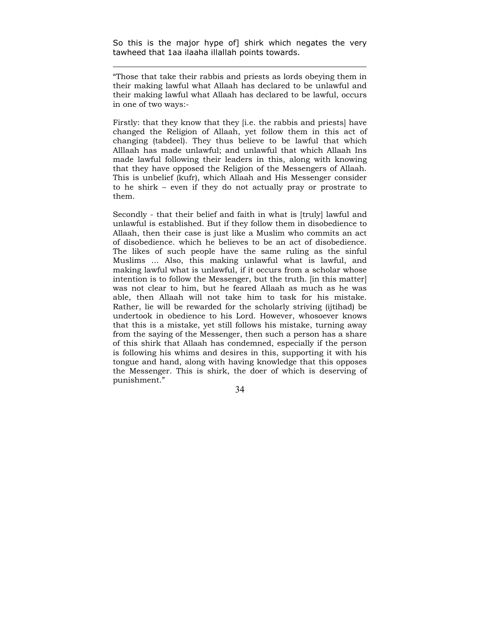So this is the major hype of] shirk which negates the very tawheed that 1aa ilaaha illallah points towards.

 $\overline{a}$ 

"Those that take their rabbis and priests as lords obeying them in their making lawful what Allaah has declared to be unlawful and their making lawful what Allaah has declared to be lawful, occurs in one of two ways:-

Firstly: that they know that they [i.e. the rabbis and priests] have changed the Religion of Allaah, yet follow them in this act of changing (tabdeel). They thus believe to be lawful that which Alllaah has made unlawful; and unlawful that which Allaah Ins made lawful following their leaders in this, along with knowing that they have opposed the Religion of the Messengers of Allaah. This is unbelief (kufr), which Allaah and His Messenger consider to he shirk – even if they do not actually pray or prostrate to them.

Secondly - that their belief and faith in what is [truly] lawful and unlawful is established. But if they follow them in disobedience to Allaah, then their case is just like a Muslim who commits an act of disobedience. which he believes to be an act of disobedience. The likes of such people have the same ruling as the sinful Muslims ... Also, this making unlawful what is lawful, and making lawful what is unlawful, if it occurs from a scholar whose intention is to follow the Messenger, but the truth. [in this matter] was not clear to him, but he feared Allaah as much as he was able, then Allaah will not take him to task for his mistake. Rather, lie will be rewarded for the scholarly striving (ijtihad) be undertook in obedience to his Lord. However, whosoever knows that this is a mistake, yet still follows his mistake, turning away from the saying of the Messenger, then such a person has a share of this shirk that Allaah has condemned, especially if the person is following his whims and desires in this, supporting it with his tongue and hand, along with having knowledge that this opposes the Messenger. This is shirk, the doer of which is deserving of punishment."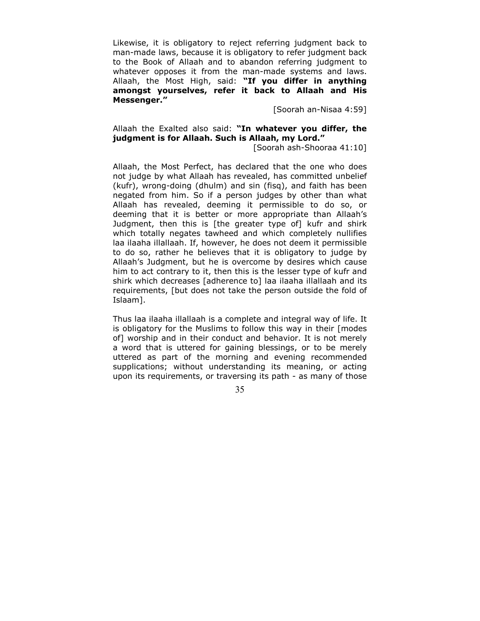Likewise, it is obligatory to reject referring judgment back to man-made laws, because it is obligatory to refer judgment back to the Book of Allaah and to abandon referring judgment to whatever opposes it from the man-made systems and laws. Allaah, the Most High, said: **"If you differ in anything amongst yourselves, refer it back to Allaah and His Messenger."**

[Soorah an-Nisaa 4:59]

# Allaah the Exalted also said: **"In whatever you differ, the judgment is for Allaah. Such is Allaah, my Lord."**

[Soorah ash-Shooraa 41:10]

Allaah, the Most Perfect, has declared that the one who does not judge by what Allaah has revealed, has committed unbelief (kufr), wrong-doing (dhulm) and sin (fisq), and faith has been negated from him. So if a person judges by other than what Allaah has revealed, deeming it permissible to do so, or deeming that it is better or more appropriate than Allaah's Judgment, then this is [the greater type of] kufr and shirk which totally negates tawheed and which completely nullifies laa ilaaha illallaah. If, however, he does not deem it permissible to do so, rather he believes that it is obligatory to judge by Allaah's Judgment, but he is overcome by desires which cause him to act contrary to it, then this is the lesser type of kufr and shirk which decreases [adherence to] laa ilaaha illallaah and its requirements, [but does not take the person outside the fold of Islaam].

Thus laa ilaaha illallaah is a complete and integral way of life. It is obligatory for the Muslims to follow this way in their [modes of] worship and in their conduct and behavior. It is not merely a word that is uttered for gaining blessings, or to be merely uttered as part of the morning and evening recommended supplications; without understanding its meaning, or acting upon its requirements, or traversing its path - as many of those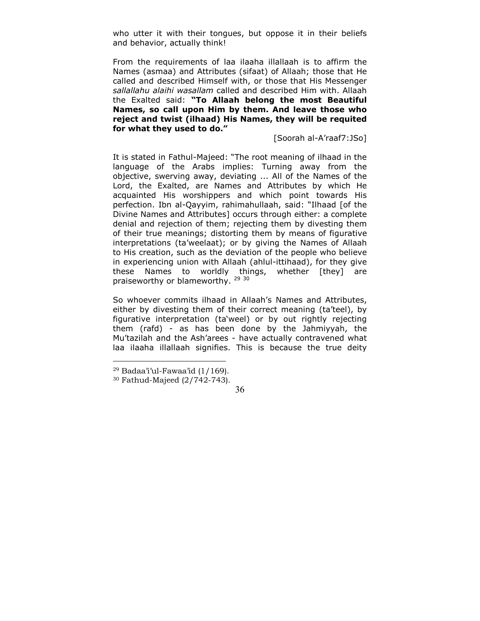who utter it with their tongues, but oppose it in their beliefs and behavior, actually think!

From the requirements of laa ilaaha illallaah is to affirm the Names (asmaa) and Attributes (sifaat) of Allaah; those that He called and described Himself with, or those that His Messenger *sallallahu alaihi wasallam* called and described Him with. Allaah the Exalted said: **"To Allaah belong the most Beautiful Names, so call upon Him by them. And leave those who reject and twist (ilhaad) His Names, they will be requited for what they used to do."** 

[Soorah al-A'raaf7:JSo]

It is stated in Fathul-Majeed: "The root meaning of ilhaad in the language of the Arabs implies: Turning away from the objective, swerving away, deviating ... All of the Names of the Lord, the Exalted, are Names and Attributes by which He acquainted His worshippers and which point towards His perfection. Ibn al-Qayyim, rahimahullaah, said: "Ilhaad [of the Divine Names and Attributes] occurs through either: a complete denial and rejection of them; rejecting them by divesting them of their true meanings; distorting them by means of figurative interpretations (ta'weelaat); or by giving the Names of Allaah to His creation, such as the deviation of the people who believe in experiencing union with Allaah (ahlul-ittihaad), for they give these Names to worldly things, whether [they] are praiseworthy or blameworthy. <sup>29 30</sup>

So whoever commits ilhaad in Allaah's Names and Attributes, either by divesting them of their correct meaning (ta'teel), by figurative interpretation (ta'weel) or by out rightly rejecting them (rafd) - as has been done by the Jahmiyyah, the Mu'tazilah and the Ash'arees - have actually contravened what laa ilaaha illallaah signifies. This is because the true deity

 $\overline{a}$ 

 $29$  Badaa'i'ul-Fawaa'id  $(1/169)$ .

<sup>30</sup> Fathud-Majeed (2/742-743).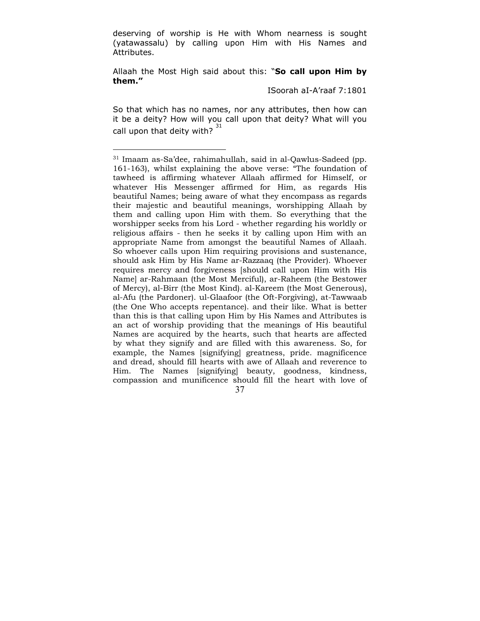deserving of worship is He with Whom nearness is sought (yatawassalu) by calling upon Him with His Names and Attributes.

Allaah the Most High said about this: "**So call upon Him by them."** 

ISoorah aI-A'raaf 7:1801

So that which has no names, nor any attributes, then how can it be a deity? How will you call upon that deity? What will you call upon that deity with?  $31$ 

 <sup>37</sup>  31 Imaam as-Sa'dee, rahimahullah, said in al-Qawlus-Sadeed (pp. 161-163), whilst explaining the above verse: "The foundation of tawheed is affirming whatever Allaah affirmed for Himself, or whatever His Messenger affirmed for Him, as regards His beautiful Names; being aware of what they encompass as regards their majestic and beautiful meanings, worshipping Allaah by them and calling upon Him with them. So everything that the worshipper seeks from his Lord - whether regarding his worldly or religious affairs - then he seeks it by calling upon Him with an appropriate Name from amongst the beautiful Names of Allaah. So whoever calls upon Him requiring provisions and sustenance, should ask Him by His Name ar-Razzaaq (the Provider). Whoever requires mercy and forgiveness [should call upon Him with His Name] ar-Rahmaan (the Most Merciful), ar-Raheem (the Bestower of Mercy), al-Birr (the Most Kind). al-Kareem (the Most Generous), al-Afu (the Pardoner). ul-Glaafoor (the Oft-Forgiving), at-Tawwaab (the One Who accepts repentance). and their like. What is better than this is that calling upon Him by His Names and Attributes is an act of worship providing that the meanings of His beautiful Names are acquired by the hearts, such that hearts are affected by what they signify and are filled with this awareness. So, for example, the Names [signifying] greatness, pride. magnificence and dread, should fill hearts with awe of Allaah and reverence to Him. The Names [signifying] beauty, goodness, kindness, compassion and munificence should fill the heart with love of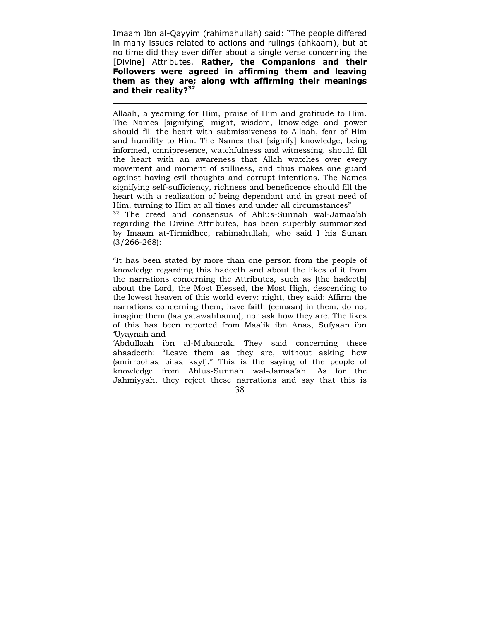Imaam Ibn al-Qayyim (rahimahullah) said: "The people differed in many issues related to actions and rulings (ahkaam), but at no time did they ever differ about a single verse concerning the [Divine] Attributes. **Rather, the Companions and their Followers were agreed in affirming them and leaving them as they are; along with affirming their meanings and their reality?32**

 $\overline{a}$ 

Allaah, a yearning for Him, praise of Him and gratitude to Him. The Names [signifying] might, wisdom, knowledge and power should fill the heart with submissiveness to Allaah, fear of Him and humility to Him. The Names that [signify] knowledge, being informed, omnipresence, watchfulness and witnessing, should fill the heart with an awareness that Allah watches over every movement and moment of stillness, and thus makes one guard against having evil thoughts and corrupt intentions. The Names signifying self-sufficiency, richness and beneficence should fill the heart with a realization of being dependant and in great need of Him, turning to Him at all times and under all circumstances"

32 The creed and consensus of Ahlus-Sunnah wal-Jamaa'ah regarding the Divine Attributes, has been superbly summarized by Imaam at-Tirmidhee, rahimahullah, who said I his Sunan (3/266-268):

"It has been stated by more than one person from the people of knowledge regarding this hadeeth and about the likes of it from the narrations concerning the Attributes, such as [the hadeeth] about the Lord, the Most Blessed, the Most High, descending to the lowest heaven of this world every: night, they said: Affirm the narrations concerning them; have faith (eemaan) in them, do not imagine them (laa yatawahhamu), nor ask how they are. The likes of this has been reported from Maalik ibn Anas, Sufyaan ibn 'Uyaynah and

 38 'Abdullaah ibn al-Mubaarak. They said concerning these ahaadeeth: "Leave them as they are, without asking how (amirroohaa bilaa kayfj." This is the saying of the people of knowledge from Ahlus-Sunnah wal-Jamaa'ah. As for the Jahmiyyah, they reject these narrations and say that this is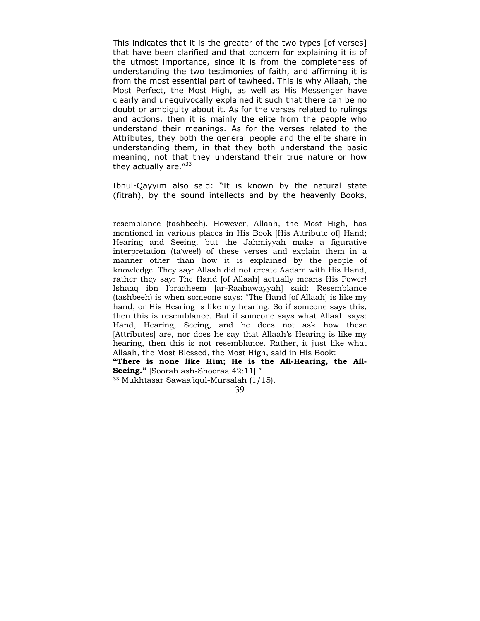This indicates that it is the greater of the two types [of verses] that have been clarified and that concern for explaining it is of the utmost importance, since it is from the completeness of understanding the two testimonies of faith, and affirming it is from the most essential part of tawheed. This is why Allaah, the Most Perfect, the Most High, as well as His Messenger have clearly and unequivocally explained it such that there can be no doubt or ambiguity about it. As for the verses related to rulings and actions, then it is mainly the elite from the people who understand their meanings. As for the verses related to the Attributes, they both the general people and the elite share in understanding them, in that they both understand the basic meaning, not that they understand their true nature or how they actually are."<sup>33</sup>

Ibnul-Qayyim also said: "It is known by the natural state (fitrah), by the sound intellects and by the heavenly Books,

33 Mukhtasar Sawaa'iqul-Mursalah (1/15).

resemblance (tashbeeh). However, Allaah, the Most High, has mentioned in various places in His Book [His Attribute of] Hand; Hearing and Seeing, but the Jahmiyyah make a figurative interpretation (ta'wee!) of these verses and explain them in a manner other than how it is explained by the people of knowledge. They say: Allaah did not create Aadam with His Hand, rather they say: The Hand [of Allaah] actually means His Power! Ishaaq ibn Ibraaheem [ar-Raahawayyah] said: Resemblance (tashbeeh) is when someone says: "The Hand [of Allaah] is like my hand, or His Hearing is like my hearing. So if someone says this, then this is resemblance. But if someone says what Allaah says: Hand, Hearing, Seeing, and he does not ask how these [Attributes] are, nor does he say that Allaah's Hearing is like my hearing, then this is not resemblance. Rather, it just like what Allaah, the Most Blessed, the Most High, said in His Book: **"There is none like Him; He is the All-Hearing, the All-Seeing."** [Soorah ash-Shooraa 42:11]."

 <sup>39</sup>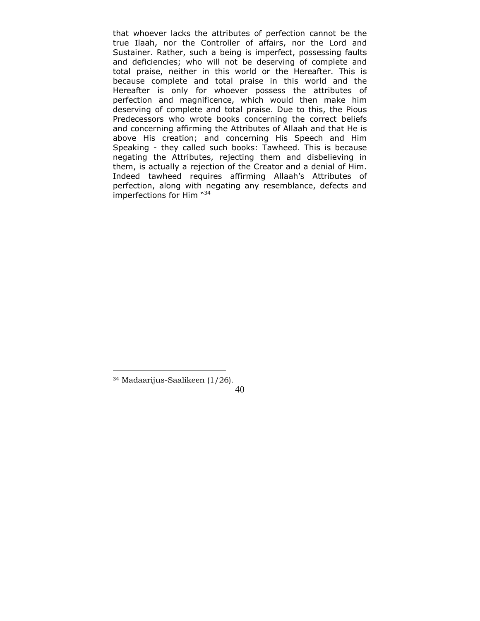that whoever lacks the attributes of perfection cannot be the true Ilaah, nor the Controller of affairs, nor the Lord and Sustainer. Rather, such a being is imperfect, possessing faults and deficiencies; who will not be deserving of complete and total praise, neither in this world or the Hereafter. This is because complete and total praise in this world and the Hereafter is only for whoever possess the attributes of perfection and magnificence, which would then make him deserving of complete and total praise. Due to this, the Pious Predecessors who wrote books concerning the correct beliefs and concerning affirming the Attributes of Allaah and that He is above His creation; and concerning His Speech and Him Speaking - they called such books: Tawheed. This is because negating the Attributes, rejecting them and disbelieving in them, is actually a rejection of the Creator and a denial of Him. Indeed tawheed requires affirming Allaah's Attributes of perfection, along with negating any resemblance, defects and imperfections for Him  $^{\text{w34}}$ 

<sup>34</sup> Madaarijus-Saalikeen (1/26).

 <sup>40</sup>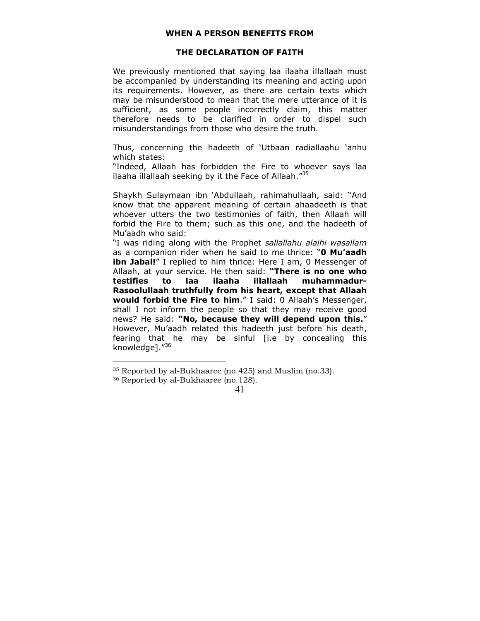#### **WHEN A PERSON BENEFITS FROM**

#### **THE DECLARATION OF FAITH**

<span id="page-40-0"></span>We previously mentioned that saying laa ilaaha illallaah must be accompanied by understanding its meaning and acting upon its requirements. However, as there are certain texts which may be misunderstood to mean that the mere utterance of it is sufficient, as some people incorrectly claim, this matter therefore needs to be clarified in order to dispel such misunderstandings from those who desire the truth.

Thus, concerning the hadeeth of 'Utbaan radiallaahu 'anhu which states:

"Indeed, Allaah has forbidden the Fire to whoever says laa ilaaha illallaah seeking by it the Face of Allaah. $"35"$ 

Shaykh Sulaymaan ibn 'Abdullaah, rahimahullaah, said: "And know that the apparent meaning of certain ahaadeeth is that whoever utters the two testimonies of faith, then Allaah will forbid the Fire to them; such as this one, and the hadeeth of Mu'aadh who said:

"I was riding along with the Prophet *sallallahu alaihi wasallam* as a companion rider when he said to me thrice: "**0 Mu'aadh ibn Jabal!**" I replied to him thrice: Here I am, 0 Messenger of Allaah, at your service. He then said: **"There is no one who testifies to laa ilaaha illallaah muhammadur-Rasoolullaah truthfully from his heart, except that Allaah would forbid the Fire to him**." I said: 0 Allaah's Messenger, shall I not inform the people so that they may receive good news? He said: **"No, because they will depend upon this.**" However, Mu'aadh related this hadeeth just before his death, fearing that he may be sinful [i.e by concealing this knowledge]."36

<sup>35</sup> Reported by al-Bukhaaree (no.425) and Muslim (no.33).

<sup>36</sup> Reported by al-Bukhaaree (no.128).

 <sup>41</sup>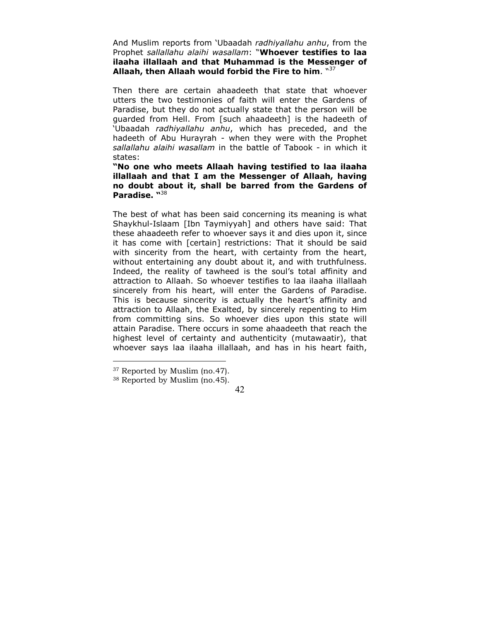And Muslim reports from 'Ubaadah *radhiyallahu anhu*, from the Prophet *sallallahu alaihi wasallam*: "**Whoever testifies to laa ilaaha illallaah and that Muhammad is the Messenger of Allaah, then Allaah would forbid the Fire to him**. "37

Then there are certain ahaadeeth that state that whoever utters the two testimonies of faith will enter the Gardens of Paradise, but they do not actually state that the person will be guarded from Hell. From [such ahaadeeth] is the hadeeth of 'Ubaadah *radhiyallahu anhu*, which has preceded, and the hadeeth of Abu Hurayrah - when they were with the Prophet *sallallahu alaihi wasallam* in the battle of Tabook - in which it states:

**"No one who meets Allaah having testified to laa ilaaha illallaah and that I am the Messenger of Allaah, having no doubt about it, shall be barred from the Gardens of Paradise. "**<sup>38</sup>

The best of what has been said concerning its meaning is what Shaykhul-Islaam [Ibn Taymiyyah] and others have said: That these ahaadeeth refer to whoever says it and dies upon it, since it has come with [certain] restrictions: That it should be said with sincerity from the heart, with certainty from the heart, without entertaining any doubt about it, and with truthfulness. Indeed, the reality of tawheed is the soul's total affinity and attraction to Allaah. So whoever testifies to laa ilaaha illallaah sincerely from his heart, will enter the Gardens of Paradise. This is because sincerity is actually the heart's affinity and attraction to Allaah, the Exalted, by sincerely repenting to Him from committing sins. So whoever dies upon this state will attain Paradise. There occurs in some ahaadeeth that reach the highest level of certainty and authenticity (mutawaatir), that whoever says laa ilaaha illallaah, and has in his heart faith,

 $\overline{a}$ 

<sup>&</sup>lt;sup>37</sup> Reported by Muslim (no.47).

<sup>38</sup> Reported by Muslim (no.45).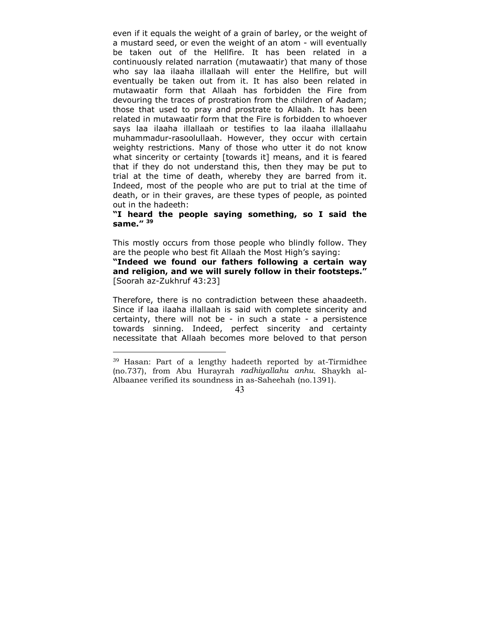even if it equals the weight of a grain of barley, or the weight of a mustard seed, or even the weight of an atom - will eventually be taken out of the Hellfire. It has been related in a continuously related narration (mutawaatir) that many of those who say laa ilaaha illallaah will enter the Hellfire, but will eventually be taken out from it. It has also been related in mutawaatir form that Allaah has forbidden the Fire from devouring the traces of prostration from the children of Aadam; those that used to pray and prostrate to Allaah. It has been related in mutawaatir form that the Fire is forbidden to whoever says laa ilaaha illallaah or testifies to laa ilaaha illallaahu muhammadur-rasoolullaah. However, they occur with certain weighty restrictions. Many of those who utter it do not know what sincerity or certainty [towards it] means, and it is feared that if they do not understand this, then they may be put to trial at the time of death, whereby they are barred from it. Indeed, most of the people who are put to trial at the time of death, or in their graves, are these types of people, as pointed out in the hadeeth:

## **"I heard the people saying something, so I said the same." 39**

This mostly occurs from those people who blindly follow. They are the people who best fit Allaah the Most High's saying:

**"Indeed we found our fathers following a certain way and religion, and we will surely follow in their footsteps."** [Soorah az-Zukhruf 43:23]

Therefore, there is no contradiction between these ahaadeeth. Since if laa ilaaha illallaah is said with complete sincerity and certainty, there will not be - in such a state - a persistence towards sinning. Indeed, perfect sincerity and certainty necessitate that Allaah becomes more beloved to that person

 $\overline{a}$ 

<sup>39</sup> Hasan: Part of a lengthy hadeeth reported by at-Tirmidhee (no.737), from Abu Hurayrah *radhiyallahu anhu*. Shaykh al-Albaanee verified its soundness in as-Saheehah (no.1391).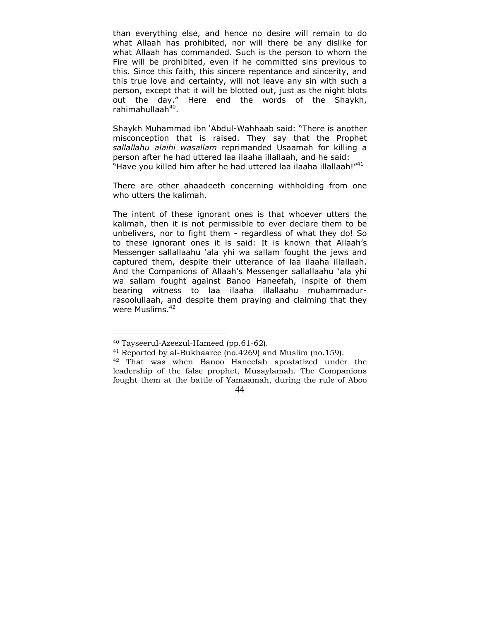than everything else, and hence no desire will remain to do what Allaah has prohibited, nor will there be any dislike for what Allaah has commanded. Such is the person to whom the Fire will be prohibited, even if he committed sins previous to this. Since this faith, this sincere repentance and sincerity, and this true love and certainty, will not leave any sin with such a person, except that it will be blotted out, just as the night blots out the day." Here end the words of the Shaykh, rahimahullaah<sup>40</sup>.

Shaykh Muhammad ibn 'Abdul-Wahhaab said: "There is another misconception that is raised. They say that the Prophet *sallallahu alaihi wasallam* reprimanded Usaamah for killing a person after he had uttered laa ilaaha illallaah, and he said: "Have you killed him after he had uttered laa ilaaha illallaah!"<sup>41</sup>

There are other ahaadeeth concerning withholding from one who utters the kalimah.

The intent of these ignorant ones is that whoever utters the kalimah, then it is not permissible to ever declare them to be unbelivers, nor to fight them - regardless of what they do! So to these ignorant ones it is said: It is known that Allaah's Messenger sallallaahu 'ala yhi wa sallam fought the jews and captured them, despite their utterance of laa ilaaha illallaah. And the Companions of Allaah's Messenger sallallaahu 'ala yhi wa sallam fought against Banoo Haneefah, inspite of them bearing witness to laa ilaaha illallaahu muhammadurrasoolullaah, and despite them praying and claiming that they were Muslims.<sup>42</sup>

<sup>40</sup> Tayseerul-Azeezul-Hameed (pp.61-62).

<sup>41</sup> Reported by al-Bukhaaree (no.4269) and Muslim (no.159).

 <sup>44</sup>  42 That was when Banoo Haneefah apostatized under the leadership of the false prophet, Musaylamah. The Companions fought them at the battle of Yamaamah, during the rule of Aboo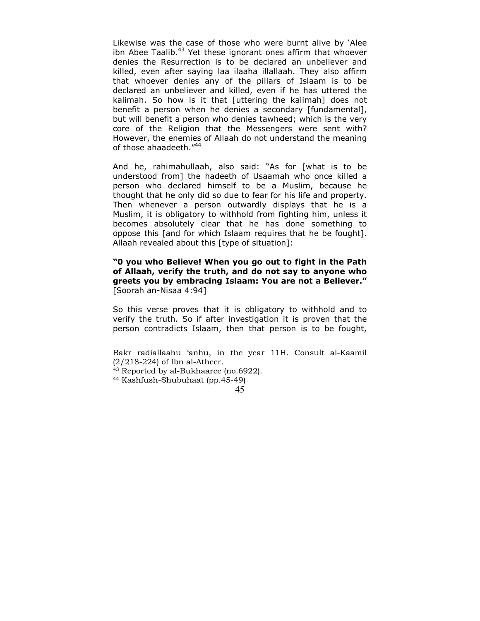Likewise was the case of those who were burnt alive by 'Alee ibn Abee Taalib. $43$  Yet these ignorant ones affirm that whoever denies the Resurrection is to be declared an unbeliever and killed, even after saying laa ilaaha illallaah. They also affirm that whoever denies any of the pillars of Islaam is to be declared an unbeliever and killed, even if he has uttered the kalimah. So how is it that [uttering the kalimah] does not benefit a person when he denies a secondary [fundamental], but will benefit a person who denies tawheed; which is the very core of the Religion that the Messengers were sent with? However, the enemies of Allaah do not understand the meaning of those ahaadeeth."44

And he, rahimahullaah, also said: "As for [what is to be understood from] the hadeeth of Usaamah who once killed a person who declared himself to be a Muslim, because he thought that he only did so due to fear for his life and property. Then whenever a person outwardly displays that he is a Muslim, it is obligatory to withhold from fighting him, unless it becomes absolutely clear that he has done something to oppose this [and for which Islaam requires that he be fought]. Allaah revealed about this [type of situation]:

**"0 you who Believe! When you go out to fight in the Path of Allaah, verify the truth, and do not say to anyone who greets you by embracing Islaam: You are not a Believer."** [Soorah an-Nisaa 4:94]

So this verse proves that it is obligatory to withhold and to verify the truth. So if after investigation it is proven that the person contradicts Islaam, then that person is to be fought,

Bakr radiallaahu 'anhu, in the year 11H. Consult al-Kaamil (2/218-224) of Ibn al-Atheer.

<sup>43</sup> Reported by al-Bukhaaree (no.6922).

<sup>44</sup> Kashfush-Shubuhaat (pp.45-49)

 <sup>45</sup>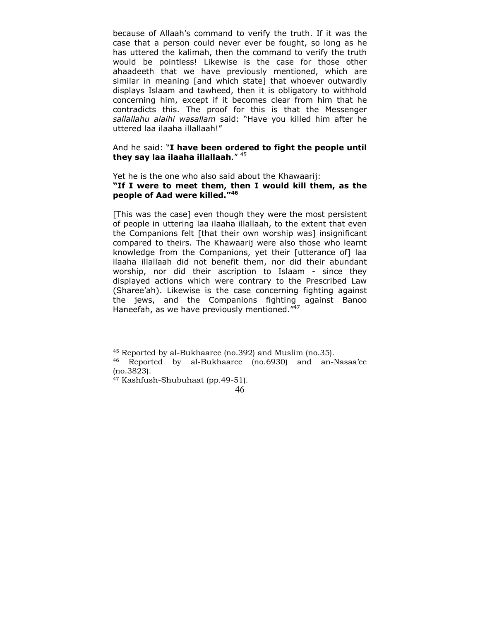because of Allaah's command to verify the truth. If it was the case that a person could never ever be fought, so long as he has uttered the kalimah, then the command to verify the truth would be pointless! Likewise is the case for those other ahaadeeth that we have previously mentioned, which are similar in meaning [and which state] that whoever outwardly displays Islaam and tawheed, then it is obligatory to withhold concerning him, except if it becomes clear from him that he contradicts this. The proof for this is that the Messenger *sallallahu alaihi wasallam* said: "Have you killed him after he uttered laa ilaaha illallaah!"

## And he said: "**I have been ordered to fight the people until they say laa ilaaha illallaah**." 45

Yet he is the one who also said about the Khawaarij: **"If I were to meet them, then I would kill them, as the people of Aad were killed."<sup>46</sup>**

[This was the case] even though they were the most persistent of people in uttering laa ilaaha illallaah, to the extent that even the Companions felt [that their own worship was] insignificant compared to theirs. The Khawaarij were also those who learnt knowledge from the Companions, yet their [utterance of] laa ilaaha illallaah did not benefit them, nor did their abundant worship, nor did their ascription to Islaam - since they displayed actions which were contrary to the Prescribed Law (Sharee'ah). Likewise is the case concerning fighting against the jews, and the Companions fighting against Banoo Haneefah, as we have previously mentioned."<sup>47</sup>

<sup>45</sup> Reported by al-Bukhaaree (no.392) and Muslim (no.35).

<sup>46</sup> Reported by al-Bukhaaree (no.6930) and an-Nasaa'ee (no.3823).

<sup>47</sup> Kashfush-Shubuhaat (pp.49-51).

 <sup>46</sup>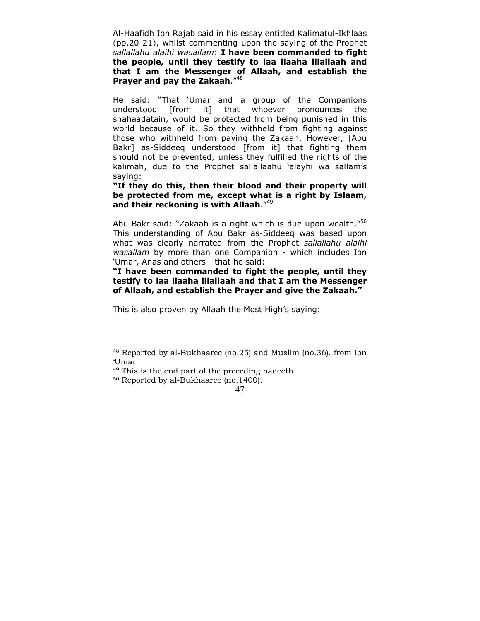Al-Haafidh Ibn Rajab said in his essay entitled Kalimatul-Ikhlaas (pp.20-21), whilst commenting upon the saying of the Prophet *sallallahu alaihi wasallam*: **I have been commanded to fight the people, until they testify to laa ilaaha illallaah and that I am the Messenger of Allaah, and establish the Prayer and pay the Zakaah**."48

He said: "That 'Umar and a group of the Companions understood [from it] that whoever pronounces the shahaadatain, would be protected from being punished in this world because of it. So they withheld from fighting against those who withheld from paying the Zakaah. However, [Abu Bakr] as-Siddeeq understood [from it] that fighting them should not be prevented, unless they fulfilled the rights of the kalimah, due to the Prophet sallallaahu 'alayhi wa sallam's saying:

**"If they do this, then their blood and their property will be protected from me, except what is a right by Islaam, and their reckoning is with Allaah**."49

Abu Bakr said: "Zakaah is a right which is due upon wealth."<sup>50</sup> This understanding of Abu Bakr as-Siddeeq was based upon what was clearly narrated from the Prophet *sallallahu alaihi wasallam* by more than one Companion - which includes Ibn 'Umar, Anas and others - that he said:

**"I have been commanded to fight the people, until they testify to laa ilaaha illallaah and that I am the Messenger of Allaah, and establish the Prayer and give the Zakaah."** 

This is also proven by Allaah the Most High's saying:

<sup>48</sup> Reported by al-Bukhaaree (no.25) and Muslim (no.36), from Ibn 'Umar

<sup>49</sup> This is the end part of the preceding hadeeth

<sup>50</sup> Reported by al-Bukhaaree (no.1400).

 <sup>47</sup>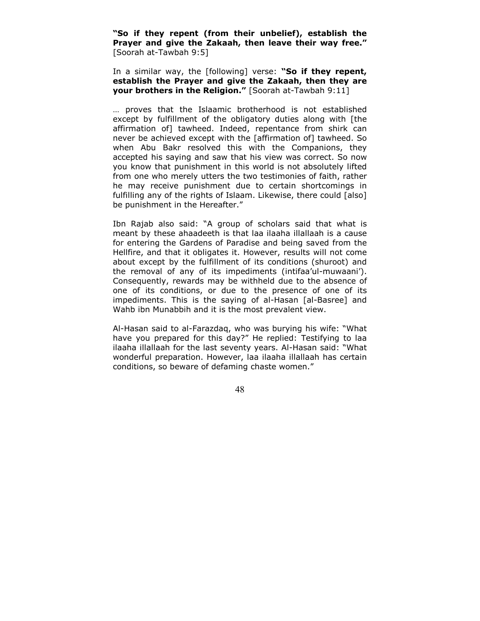**"So if they repent (from their unbelief), establish the Prayer and give the Zakaah, then leave their way free."** [Soorah at-Tawbah 9:5]

In a similar way, the [following] verse: **"So if they repent, establish the Prayer and give the Zakaah, then they are your brothers in the Religion."** [Soorah at-Tawbah 9:11]

… proves that the Islaamic brotherhood is not established except by fulfillment of the obligatory duties along with [the affirmation of] tawheed. Indeed, repentance from shirk can never be achieved except with the [affirmation of] tawheed. So when Abu Bakr resolved this with the Companions, they accepted his saying and saw that his view was correct. So now you know that punishment in this world is not absolutely lifted from one who merely utters the two testimonies of faith, rather he may receive punishment due to certain shortcomings in fulfilling any of the rights of Islaam. Likewise, there could [also] be punishment in the Hereafter."

Ibn Rajab also said: "A group of scholars said that what is meant by these ahaadeeth is that laa ilaaha illallaah is a cause for entering the Gardens of Paradise and being saved from the Hellfire, and that it obligates it. However, results will not come about except by the fulfillment of its conditions (shuroot) and the removal of any of its impediments (intifaa'ul-muwaani'). Consequently, rewards may be withheld due to the absence of one of its conditions, or due to the presence of one of its impediments. This is the saying of al-Hasan [al-Basree] and Wahb ibn Munabbih and it is the most prevalent view.

Al-Hasan said to al-Farazdaq, who was burying his wife: "What have you prepared for this day?" He replied: Testifying to laa ilaaha illallaah for the last seventy years. Al-Hasan said: "What wonderful preparation. However, laa ilaaha illallaah has certain conditions, so beware of defaming chaste women."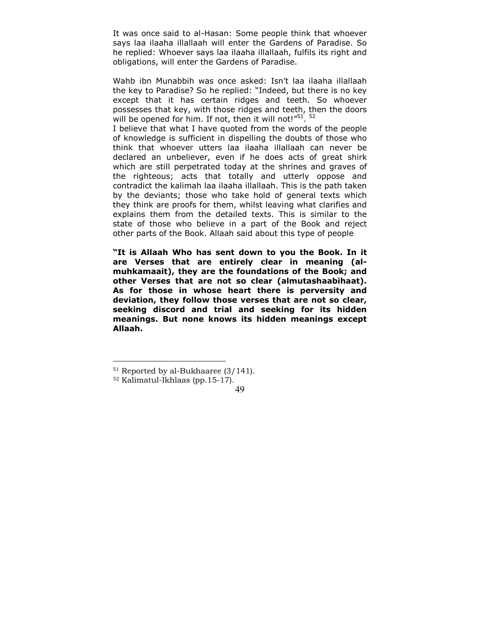It was once said to al-Hasan: Some people think that whoever says laa ilaaha illallaah will enter the Gardens of Paradise. So he replied: Whoever says laa ilaaha illallaah, fulfils its right and obligations, will enter the Gardens of Paradise.

Wahb ibn Munabbih was once asked: Isn't laa ilaaha illallaah the key to Paradise? So he replied: "Indeed, but there is no key except that it has certain ridges and teeth. So whoever possesses that key, with those ridges and teeth, then the doors will be opened for him. If not, then it will not!" $51.52$ 

I believe that what I have quoted from the words of the people of knowledge is sufficient in dispelling the doubts of those who think that whoever utters laa ilaaha illallaah can never be declared an unbeliever, even if he does acts of great shirk which are still perpetrated today at the shrines and graves of the righteous; acts that totally and utterly oppose and contradict the kalimah laa ilaaha illallaah. This is the path taken by the deviants; those who take hold of general texts which they think are proofs for them, whilst leaving what clarifies and explains them from the detailed texts. This is similar to the state of those who believe in a part of the Book and reject other parts of the Book. Allaah said about this type of people

**"It is Allaah Who has sent down to you the Book. In it are Verses that are entirely clear in meaning (almuhkamaait), they are the foundations of the Book; and other Verses that are not so clear (almutashaabihaat). As for those in whose heart there is perversity and deviation, they follow those verses that are not so clear, seeking discord and trial and seeking for its hidden meanings. But none knows its hidden meanings except Allaah.** 

<sup>51</sup> Reported by al-Bukhaaree (3/141).

<sup>52</sup> Kalimatul-Ikhlaas (pp.15-17).

 <sup>49</sup>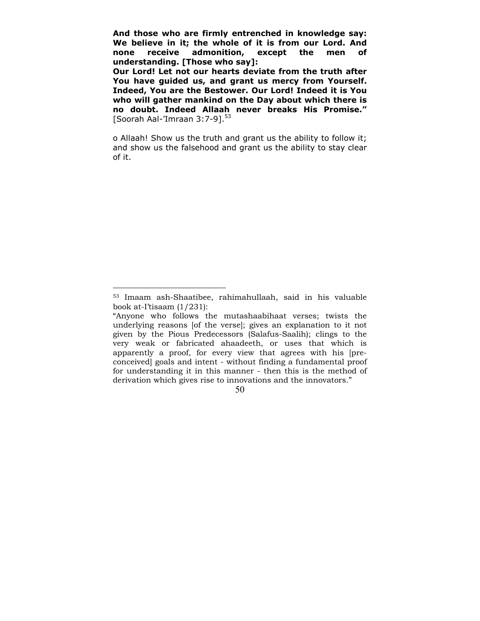**And those who are firmly entrenched in knowledge say: We believe in it; the whole of it is from our Lord. And none receive admonition, except the men of understanding. [Those who say]:** 

**Our Lord! Let not our hearts deviate from the truth after You have guided us, and grant us mercy from Yourself. Indeed, You are the Bestower. Our Lord! Indeed it is You who will gather mankind on the Day about which there is no doubt. Indeed Allaah never breaks His Promise."** [Soorah Aal-'Imraan  $3:7-9$ ].<sup>53</sup>

o Allaah! Show us the truth and grant us the ability to follow it; and show us the falsehood and grant us the ability to stay clear of it.

 $\overline{a}$ 

<sup>53</sup> Imaam ash-Shaatibee, rahimahullaah, said in his valuable book at-I'tisaam (1/231):

<sup>&</sup>quot;Anyone who follows the mutashaabihaat verses; twists the underlying reasons [of the verse]; gives an explanation to it not given by the Pious Predecessors (Salafus-Saalih); clings to the very weak or fabricated ahaadeeth, or uses that which is apparently a proof, for every view that agrees with his [preconceived] goals and intent - without finding a fundamental proof for understanding it in this manner - then this is the method of derivation which gives rise to innovations and the innovators."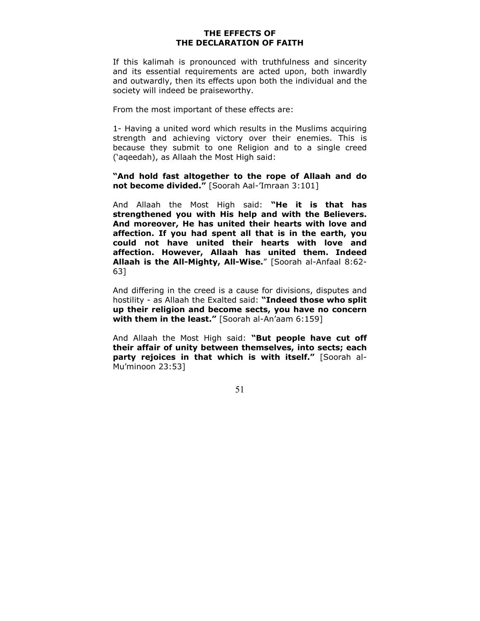# **THE EFFECTS OF THE DECLARATION OF FAITH**

<span id="page-50-0"></span>If this kalimah is pronounced with truthfulness and sincerity and its essential requirements are acted upon, both inwardly and outwardly, then its effects upon both the individual and the society will indeed be praiseworthy.

From the most important of these effects are:

1- Having a united word which results in the Muslims acquiring strength and achieving victory over their enemies. This is because they submit to one Religion and to a single creed ('aqeedah), as Allaah the Most High said:

**"And hold fast altogether to the rope of Allaah and do not become divided."** [Soorah Aal-'Imraan 3:101]

And Allaah the Most High said: **"He it is that has strengthened you with His help and with the Believers. And moreover, He has united their hearts with love and affection. If you had spent all that is in the earth, you could not have united their hearts with love and affection. However, Allaah has united them. Indeed Allaah is the All-Mighty, All-Wise.**" [Soorah al-Anfaal 8:62- 63]

And differing in the creed is a cause for divisions, disputes and hostility - as Allaah the Exalted said: **"Indeed those who split up their religion and become sects, you have no concern with them in the least."** [Soorah al-An'aam 6:159]

And Allaah the Most High said: **"But people have cut off their affair of unity between themselves, into sects; each party rejoices in that which is with itself."** [Soorah al-Mu'minoon 23:53]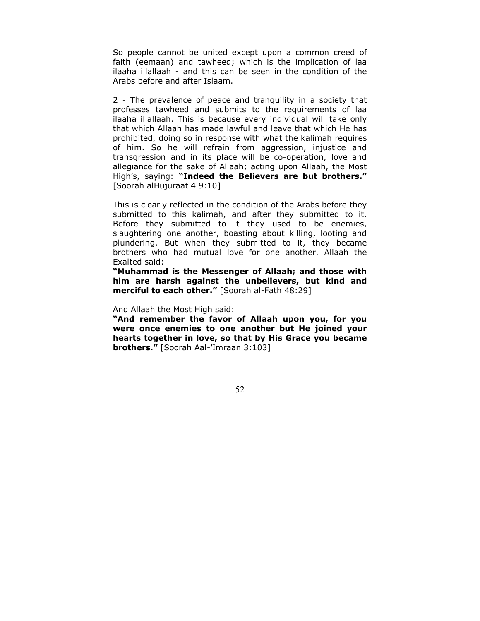So people cannot be united except upon a common creed of faith (eemaan) and tawheed; which is the implication of laa ilaaha illallaah - and this can be seen in the condition of the Arabs before and after Islaam.

2 - The prevalence of peace and tranquility in a society that professes tawheed and submits to the requirements of laa ilaaha illallaah. This is because every individual will take only that which Allaah has made lawful and leave that which He has prohibited, doing so in response with what the kalimah requires of him. So he will refrain from aggression, injustice and transgression and in its place will be co-operation, love and allegiance for the sake of Allaah; acting upon Allaah, the Most High's, saying: **"Indeed the Believers are but brothers."** [Soorah alHujuraat 4 9:10]

This is clearly reflected in the condition of the Arabs before they submitted to this kalimah, and after they submitted to it. Before they submitted to it they used to be enemies, slaughtering one another, boasting about killing, looting and plundering. But when they submitted to it, they became brothers who had mutual love for one another. Allaah the Exalted said:

**"Muhammad is the Messenger of Allaah; and those with him are harsh against the unbelievers, but kind and merciful to each other."** [Soorah al-Fath 48:29]

And Allaah the Most High said:

**"And remember the favor of Allaah upon you, for you were once enemies to one another but He joined your hearts together in love, so that by His Grace you became brothers."** [Soorah Aal-'Imraan 3:103]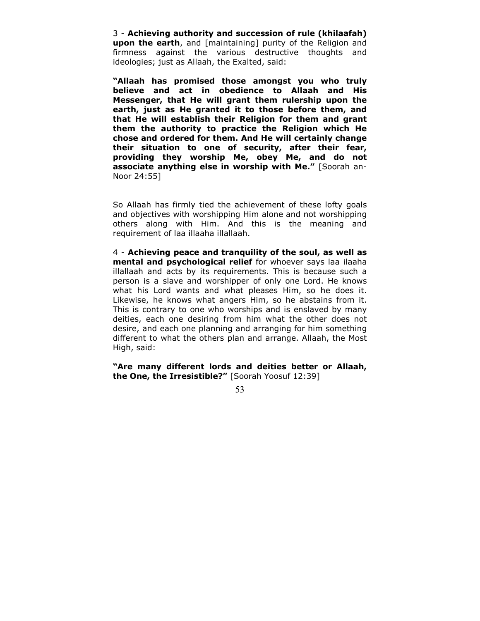3 - **Achieving authority and succession of rule (khilaafah) upon the earth**, and [maintaining] purity of the Religion and firmness against the various destructive thoughts and ideologies; just as Allaah, the Exalted, said:

**"Allaah has promised those amongst you who truly believe and act in obedience to Allaah and His Messenger, that He will grant them rulership upon the earth, just as He granted it to those before them, and that He will establish their Religion for them and grant them the authority to practice the Religion which He chose and ordered for them. And He will certainly change their situation to one of security, after their fear, providing they worship Me, obey Me, and do not associate anything else in worship with Me."** [Soorah an-Noor 24:55]

So Allaah has firmly tied the achievement of these lofty goals and objectives with worshipping Him alone and not worshipping others along with Him. And this is the meaning and requirement of laa illaaha illallaah.

4 - **Achieving peace and tranquility of the soul, as well as mental and psychological relief** for whoever says laa ilaaha illallaah and acts by its requirements. This is because such a person is a slave and worshipper of only one Lord. He knows what his Lord wants and what pleases Him, so he does it. Likewise, he knows what angers Him, so he abstains from it. This is contrary to one who worships and is enslaved by many deities, each one desiring from him what the other does not desire, and each one planning and arranging for him something different to what the others plan and arrange. Allaah, the Most High, said:

**"Are many different lords and deities better or Allaah, the One, the Irresistible?"** [Soorah Yoosuf 12:39]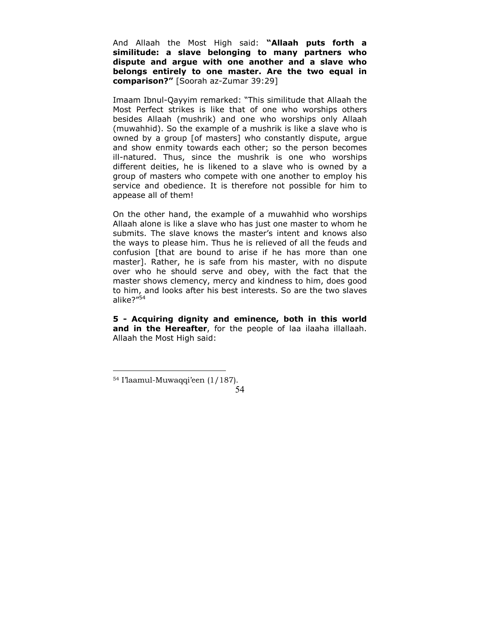And Allaah the Most High said: **"Allaah puts forth a similitude: a slave belonging to many partners who dispute and argue with one another and a slave who belongs entirely to one master. Are the two equal in comparison?"** [Soorah az-Zumar 39:29]

Imaam Ibnul-Qayyim remarked: "This similitude that Allaah the Most Perfect strikes is like that of one who worships others besides Allaah (mushrik) and one who worships only Allaah (muwahhid). So the example of a mushrik is like a slave who is owned by a group [of masters] who constantly dispute, argue and show enmity towards each other; so the person becomes ill-natured. Thus, since the mushrik is one who worships different deities, he is likened to a slave who is owned by a group of masters who compete with one another to employ his service and obedience. It is therefore not possible for him to appease all of them!

On the other hand, the example of a muwahhid who worships Allaah alone is like a slave who has just one master to whom he submits. The slave knows the master's intent and knows also the ways to please him. Thus he is relieved of all the feuds and confusion [that are bound to arise if he has more than one master]. Rather, he is safe from his master, with no dispute over who he should serve and obey, with the fact that the master shows clemency, mercy and kindness to him, does good to him, and looks after his best interests. So are the two slaves alike?"<sup>54</sup>

**5 - Acquiring dignity and eminence, both in this world and in the Hereafter**, for the people of laa ilaaha illallaah. Allaah the Most High said:

<sup>54</sup> I'laamul-Muwaqqi'een (1/187).

 <sup>54</sup>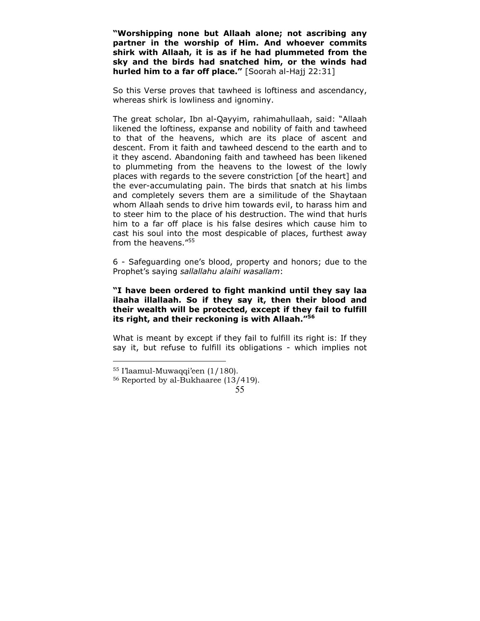**"Worshipping none but Allaah alone; not ascribing any partner in the worship of Him. And whoever commits shirk with Allaah, it is as if he had plummeted from the sky and the birds had snatched him, or the winds had hurled him to a far off place."** [Soorah al-Hajj 22:31]

So this Verse proves that tawheed is loftiness and ascendancy, whereas shirk is lowliness and ignominy.

The great scholar, Ibn al-Qayyim, rahimahullaah, said: "Allaah likened the loftiness, expanse and nobility of faith and tawheed to that of the heavens, which are its place of ascent and descent. From it faith and tawheed descend to the earth and to it they ascend. Abandoning faith and tawheed has been likened to plummeting from the heavens to the lowest of the lowly places with regards to the severe constriction [of the heart] and the ever-accumulating pain. The birds that snatch at his limbs and completely severs them are a similitude of the Shaytaan whom Allaah sends to drive him towards evil, to harass him and to steer him to the place of his destruction. The wind that hurls him to a far off place is his false desires which cause him to cast his soul into the most despicable of places, furthest away from the heavens."55

6 - Safeguarding one's blood, property and honors; due to the Prophet's saying *sallallahu alaihi wasallam*:

# **"I have been ordered to fight mankind until they say laa ilaaha illallaah. So if they say it, then their blood and their wealth will be protected, except if they fail to fulfill its right, and their reckoning is with Allaah."<sup>56</sup>**

What is meant by except if they fail to fulfill its right is: If they say it, but refuse to fulfill its obligations - which implies not

<sup>55</sup> I'laamul-Muwaqqi'een (1/180).

<sup>56</sup> Reported by al-Bukhaaree (13/419).

 <sup>55</sup>